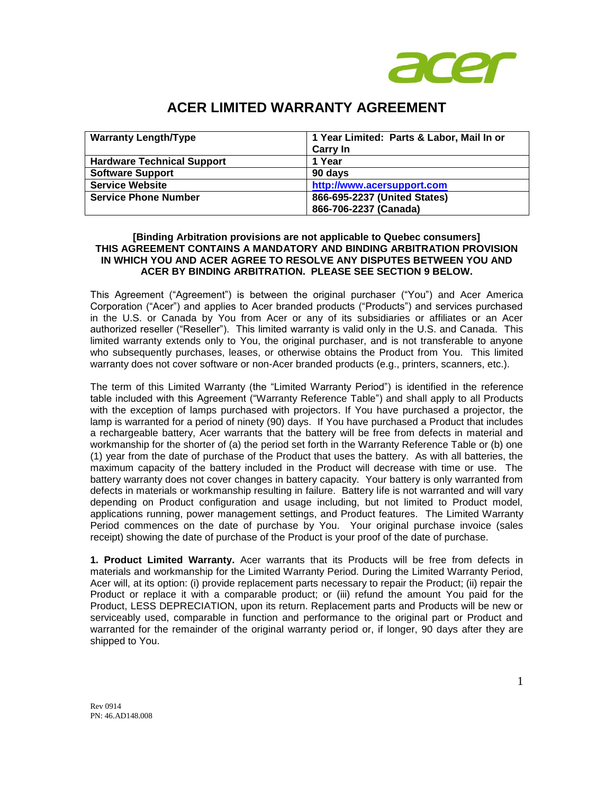

# **ACER LIMITED WARRANTY AGREEMENT**

| <b>Warranty Length/Type</b>       | 1 Year Limited: Parts & Labor, Mail In or |
|-----------------------------------|-------------------------------------------|
|                                   | <b>Carry In</b>                           |
| <b>Hardware Technical Support</b> | 1 Year                                    |
| <b>Software Support</b>           | 90 days                                   |
| <b>Service Website</b>            | http://www.acersupport.com                |
| <b>Service Phone Number</b>       | 866-695-2237 (United States)              |
|                                   | 866-706-2237 (Canada)                     |

## **[Binding Arbitration provisions are not applicable to Quebec consumers] THIS AGREEMENT CONTAINS A MANDATORY AND BINDING ARBITRATION PROVISION IN WHICH YOU AND ACER AGREE TO RESOLVE ANY DISPUTES BETWEEN YOU AND ACER BY BINDING ARBITRATION. PLEASE SEE SECTION 9 BELOW.**

This Agreement ("Agreement") is between the original purchaser ("You") and Acer America Corporation ("Acer") and applies to Acer branded products ("Products") and services purchased in the U.S. or Canada by You from Acer or any of its subsidiaries or affiliates or an Acer authorized reseller ("Reseller"). This limited warranty is valid only in the U.S. and Canada. This limited warranty extends only to You, the original purchaser, and is not transferable to anyone who subsequently purchases, leases, or otherwise obtains the Product from You. This limited warranty does not cover software or non-Acer branded products (e.g., printers, scanners, etc.).

The term of this Limited Warranty (the "Limited Warranty Period") is identified in the reference table included with this Agreement ("Warranty Reference Table") and shall apply to all Products with the exception of lamps purchased with projectors. If You have purchased a projector, the lamp is warranted for a period of ninety (90) days. If You have purchased a Product that includes a rechargeable battery, Acer warrants that the battery will be free from defects in material and workmanship for the shorter of (a) the period set forth in the Warranty Reference Table or (b) one (1) year from the date of purchase of the Product that uses the battery. As with all batteries, the maximum capacity of the battery included in the Product will decrease with time or use. The battery warranty does not cover changes in battery capacity. Your battery is only warranted from defects in materials or workmanship resulting in failure. Battery life is not warranted and will vary depending on Product configuration and usage including, but not limited to Product model, applications running, power management settings, and Product features. The Limited Warranty Period commences on the date of purchase by You. Your original purchase invoice (sales receipt) showing the date of purchase of the Product is your proof of the date of purchase.

**1. Product Limited Warranty.** Acer warrants that its Products will be free from defects in materials and workmanship for the Limited Warranty Period. During the Limited Warranty Period, Acer will, at its option: (i) provide replacement parts necessary to repair the Product; (ii) repair the Product or replace it with a comparable product; or (iii) refund the amount You paid for the Product, LESS DEPRECIATION, upon its return. Replacement parts and Products will be new or serviceably used, comparable in function and performance to the original part or Product and warranted for the remainder of the original warranty period or, if longer, 90 days after they are shipped to You.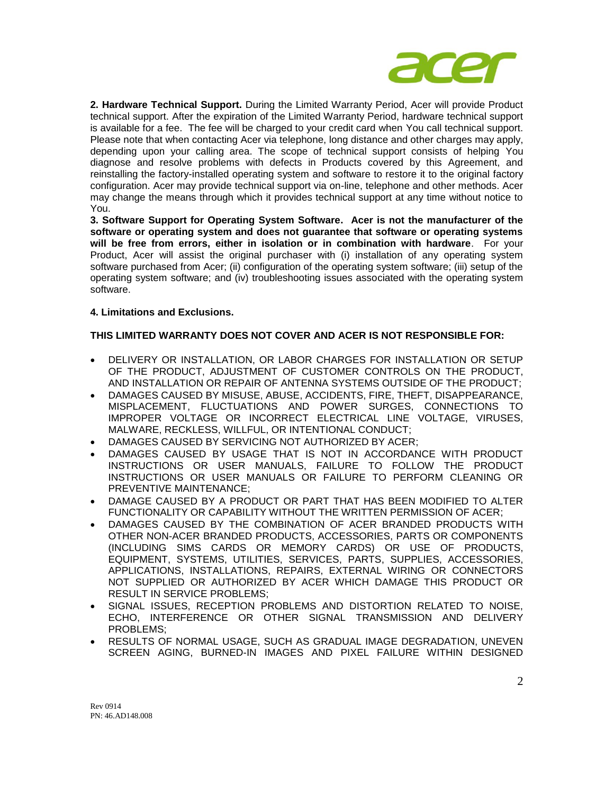

**2. Hardware Technical Support.** During the Limited Warranty Period, Acer will provide Product technical support. After the expiration of the Limited Warranty Period, hardware technical support is available for a fee. The fee will be charged to your credit card when You call technical support. Please note that when contacting Acer via telephone, long distance and other charges may apply, depending upon your calling area. The scope of technical support consists of helping You diagnose and resolve problems with defects in Products covered by this Agreement, and reinstalling the factory-installed operating system and software to restore it to the original factory configuration. Acer may provide technical support via on-line, telephone and other methods. Acer may change the means through which it provides technical support at any time without notice to You.

**3. Software Support for Operating System Software. Acer is not the manufacturer of the software or operating system and does not guarantee that software or operating systems will be free from errors, either in isolation or in combination with hardware**. For your Product, Acer will assist the original purchaser with (i) installation of any operating system software purchased from Acer; (ii) configuration of the operating system software; (iii) setup of the operating system software; and (iv) troubleshooting issues associated with the operating system software.

## **4. Limitations and Exclusions.**

## **THIS LIMITED WARRANTY DOES NOT COVER AND ACER IS NOT RESPONSIBLE FOR:**

- DELIVERY OR INSTALLATION, OR LABOR CHARGES FOR INSTALLATION OR SETUP OF THE PRODUCT, ADJUSTMENT OF CUSTOMER CONTROLS ON THE PRODUCT, AND INSTALLATION OR REPAIR OF ANTENNA SYSTEMS OUTSIDE OF THE PRODUCT;
- DAMAGES CAUSED BY MISUSE, ABUSE, ACCIDENTS, FIRE, THEFT, DISAPPEARANCE, MISPLACEMENT, FLUCTUATIONS AND POWER SURGES, CONNECTIONS TO IMPROPER VOLTAGE OR INCORRECT ELECTRICAL LINE VOLTAGE, VIRUSES, MALWARE, RECKLESS, WILLFUL, OR INTENTIONAL CONDUCT;
- DAMAGES CAUSED BY SERVICING NOT AUTHORIZED BY ACER;
- DAMAGES CAUSED BY USAGE THAT IS NOT IN ACCORDANCE WITH PRODUCT INSTRUCTIONS OR USER MANUALS, FAILURE TO FOLLOW THE PRODUCT INSTRUCTIONS OR USER MANUALS OR FAILURE TO PERFORM CLEANING OR PREVENTIVE MAINTENANCE;
- DAMAGE CAUSED BY A PRODUCT OR PART THAT HAS BEEN MODIFIED TO ALTER FUNCTIONALITY OR CAPABILITY WITHOUT THE WRITTEN PERMISSION OF ACER;
- DAMAGES CAUSED BY THE COMBINATION OF ACER BRANDED PRODUCTS WITH OTHER NON-ACER BRANDED PRODUCTS, ACCESSORIES, PARTS OR COMPONENTS (INCLUDING SIMS CARDS OR MEMORY CARDS) OR USE OF PRODUCTS, EQUIPMENT, SYSTEMS, UTILITIES, SERVICES, PARTS, SUPPLIES, ACCESSORIES, APPLICATIONS, INSTALLATIONS, REPAIRS, EXTERNAL WIRING OR CONNECTORS NOT SUPPLIED OR AUTHORIZED BY ACER WHICH DAMAGE THIS PRODUCT OR RESULT IN SERVICE PROBLEMS;
- **SIGNAL ISSUES, RECEPTION PROBLEMS AND DISTORTION RELATED TO NOISE,** ECHO, INTERFERENCE OR OTHER SIGNAL TRANSMISSION AND DELIVERY PROBLEMS;
- RESULTS OF NORMAL USAGE, SUCH AS GRADUAL IMAGE DEGRADATION, UNEVEN SCREEN AGING, BURNED-IN IMAGES AND PIXEL FAILURE WITHIN DESIGNED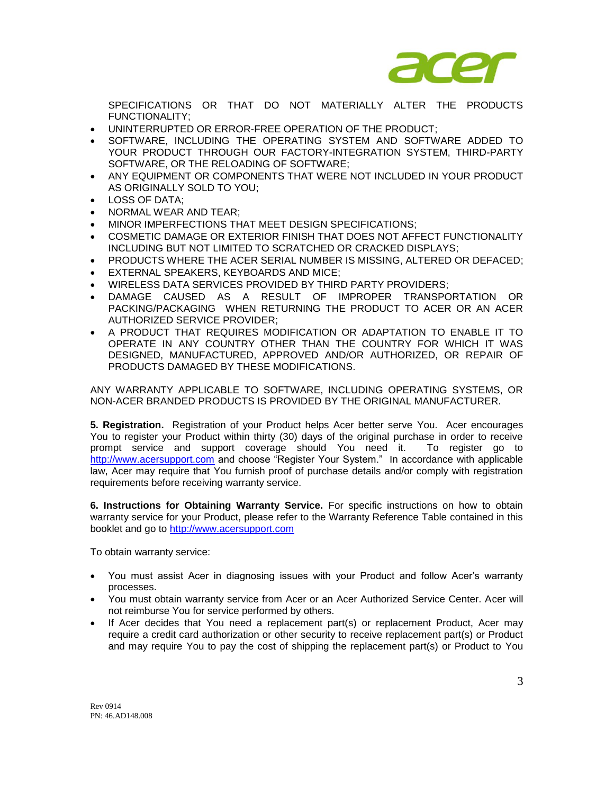

SPECIFICATIONS OR THAT DO NOT MATERIALLY ALTER THE PRODUCTS FUNCTIONALITY;

- UNINTERRUPTED OR ERROR-FREE OPERATION OF THE PRODUCT;
- SOFTWARE, INCLUDING THE OPERATING SYSTEM AND SOFTWARE ADDED TO YOUR PRODUCT THROUGH OUR FACTORY-INTEGRATION SYSTEM, THIRD-PARTY SOFTWARE, OR THE RELOADING OF SOFTWARE;
- ANY EQUIPMENT OR COMPONENTS THAT WERE NOT INCLUDED IN YOUR PRODUCT AS ORIGINALLY SOLD TO YOU;
- LOSS OF DATA;
- NORMAL WEAR AND TEAR;
- MINOR IMPERFECTIONS THAT MEET DESIGN SPECIFICATIONS;
- COSMETIC DAMAGE OR EXTERIOR FINISH THAT DOES NOT AFFECT FUNCTIONALITY INCLUDING BUT NOT LIMITED TO SCRATCHED OR CRACKED DISPLAYS;
- PRODUCTS WHERE THE ACER SERIAL NUMBER IS MISSING, ALTERED OR DEFACED;
- EXTERNAL SPEAKERS, KEYBOARDS AND MICE;
- WIRELESS DATA SERVICES PROVIDED BY THIRD PARTY PROVIDERS;
- DAMAGE CAUSED AS A RESULT OF IMPROPER TRANSPORTATION OR PACKING/PACKAGING WHEN RETURNING THE PRODUCT TO ACER OR AN ACER AUTHORIZED SERVICE PROVIDER;
- A PRODUCT THAT REQUIRES MODIFICATION OR ADAPTATION TO ENABLE IT TO OPERATE IN ANY COUNTRY OTHER THAN THE COUNTRY FOR WHICH IT WAS DESIGNED, MANUFACTURED, APPROVED AND/OR AUTHORIZED, OR REPAIR OF PRODUCTS DAMAGED BY THESE MODIFICATIONS.

ANY WARRANTY APPLICABLE TO SOFTWARE, INCLUDING OPERATING SYSTEMS, OR NON-ACER BRANDED PRODUCTS IS PROVIDED BY THE ORIGINAL MANUFACTURER.

**5. Registration.** Registration of your Product helps Acer better serve You. Acer encourages You to register your Product within thirty (30) days of the original purchase in order to receive prompt service and support coverage should You need it. To register go to [http://www.acersupport.com](http://www.acersupport.com/) and choose "Register Your System." In accordance with applicable law, Acer may require that You furnish proof of purchase details and/or comply with registration requirements before receiving warranty service.

**6. Instructions for Obtaining Warranty Service.** For specific instructions on how to obtain warranty service for your Product, please refer to the Warranty Reference Table contained in this booklet and go to [http://www.acersupport.com](http://www.acersupport.com/)

To obtain warranty service:

- You must assist Acer in diagnosing issues with your Product and follow Acer's warranty processes.
- You must obtain warranty service from Acer or an Acer Authorized Service Center. Acer will not reimburse You for service performed by others.
- If Acer decides that You need a replacement part(s) or replacement Product, Acer may require a credit card authorization or other security to receive replacement part(s) or Product and may require You to pay the cost of shipping the replacement part(s) or Product to You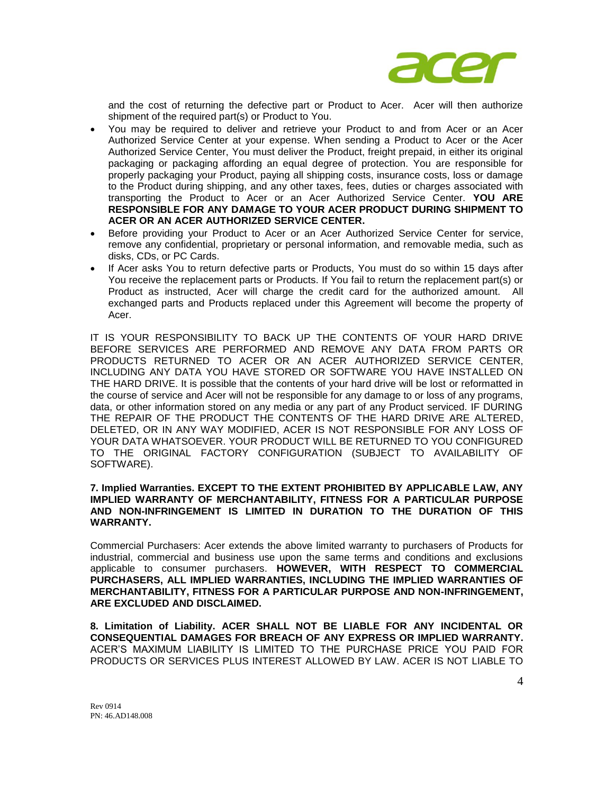

and the cost of returning the defective part or Product to Acer. Acer will then authorize shipment of the required part(s) or Product to You.

- You may be required to deliver and retrieve your Product to and from Acer or an Acer Authorized Service Center at your expense. When sending a Product to Acer or the Acer Authorized Service Center, You must deliver the Product, freight prepaid, in either its original packaging or packaging affording an equal degree of protection. You are responsible for properly packaging your Product, paying all shipping costs, insurance costs, loss or damage to the Product during shipping, and any other taxes, fees, duties or charges associated with transporting the Product to Acer or an Acer Authorized Service Center. **YOU ARE RESPONSIBLE FOR ANY DAMAGE TO YOUR ACER PRODUCT DURING SHIPMENT TO ACER OR AN ACER AUTHORIZED SERVICE CENTER.**
- Before providing your Product to Acer or an Acer Authorized Service Center for service, remove any confidential, proprietary or personal information, and removable media, such as disks, CDs, or PC Cards.
- If Acer asks You to return defective parts or Products, You must do so within 15 days after You receive the replacement parts or Products. If You fail to return the replacement part(s) or Product as instructed, Acer will charge the credit card for the authorized amount. All exchanged parts and Products replaced under this Agreement will become the property of Acer.

IT IS YOUR RESPONSIBILITY TO BACK UP THE CONTENTS OF YOUR HARD DRIVE BEFORE SERVICES ARE PERFORMED AND REMOVE ANY DATA FROM PARTS OR PRODUCTS RETURNED TO ACER OR AN ACER AUTHORIZED SERVICE CENTER, INCLUDING ANY DATA YOU HAVE STORED OR SOFTWARE YOU HAVE INSTALLED ON THE HARD DRIVE. It is possible that the contents of your hard drive will be lost or reformatted in the course of service and Acer will not be responsible for any damage to or loss of any programs, data, or other information stored on any media or any part of any Product serviced. IF DURING THE REPAIR OF THE PRODUCT THE CONTENTS OF THE HARD DRIVE ARE ALTERED, DELETED, OR IN ANY WAY MODIFIED, ACER IS NOT RESPONSIBLE FOR ANY LOSS OF YOUR DATA WHATSOEVER. YOUR PRODUCT WILL BE RETURNED TO YOU CONFIGURED TO THE ORIGINAL FACTORY CONFIGURATION (SUBJECT TO AVAILABILITY OF SOFTWARE).

## **7. Implied Warranties. EXCEPT TO THE EXTENT PROHIBITED BY APPLICABLE LAW, ANY IMPLIED WARRANTY OF MERCHANTABILITY, FITNESS FOR A PARTICULAR PURPOSE AND NON-INFRINGEMENT IS LIMITED IN DURATION TO THE DURATION OF THIS WARRANTY.**

Commercial Purchasers: Acer extends the above limited warranty to purchasers of Products for industrial, commercial and business use upon the same terms and conditions and exclusions applicable to consumer purchasers. **HOWEVER, WITH RESPECT TO COMMERCIAL PURCHASERS, ALL IMPLIED WARRANTIES, INCLUDING THE IMPLIED WARRANTIES OF MERCHANTABILITY, FITNESS FOR A PARTICULAR PURPOSE AND NON-INFRINGEMENT, ARE EXCLUDED AND DISCLAIMED.** 

**8. Limitation of Liability. ACER SHALL NOT BE LIABLE FOR ANY INCIDENTAL OR CONSEQUENTIAL DAMAGES FOR BREACH OF ANY EXPRESS OR IMPLIED WARRANTY.**  ACER'S MAXIMUM LIABILITY IS LIMITED TO THE PURCHASE PRICE YOU PAID FOR PRODUCTS OR SERVICES PLUS INTEREST ALLOWED BY LAW. ACER IS NOT LIABLE TO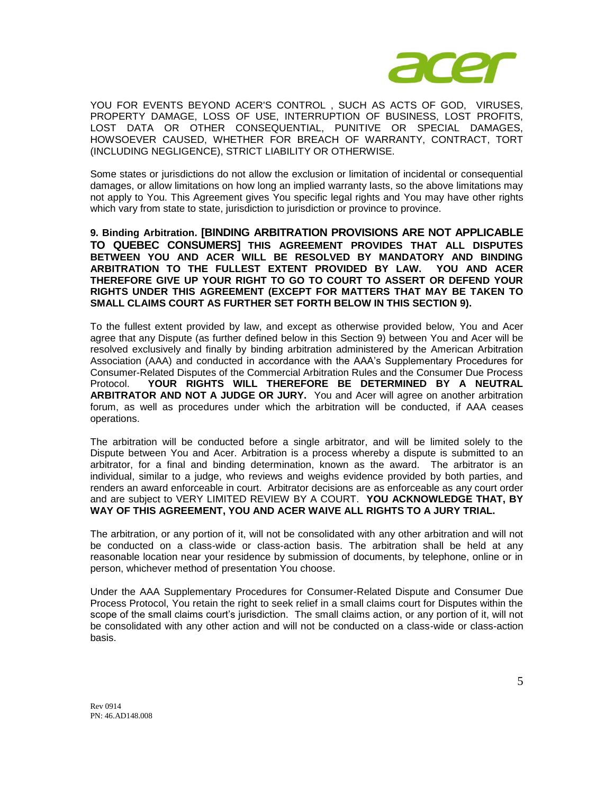

YOU FOR EVENTS BEYOND ACER'S CONTROL , SUCH AS ACTS OF GOD, VIRUSES, PROPERTY DAMAGE, LOSS OF USE, INTERRUPTION OF BUSINESS, LOST PROFITS, LOST DATA OR OTHER CONSEQUENTIAL, PUNITIVE OR SPECIAL DAMAGES, HOWSOEVER CAUSED, WHETHER FOR BREACH OF WARRANTY, CONTRACT, TORT (INCLUDING NEGLIGENCE), STRICT LIABILITY OR OTHERWISE.

Some states or jurisdictions do not allow the exclusion or limitation of incidental or consequential damages, or allow limitations on how long an implied warranty lasts, so the above limitations may not apply to You. This Agreement gives You specific legal rights and You may have other rights which vary from state to state, jurisdiction to jurisdiction or province to province.

**9. Binding Arbitration. [BINDING ARBITRATION PROVISIONS ARE NOT APPLICABLE TO QUEBEC CONSUMERS] THIS AGREEMENT PROVIDES THAT ALL DISPUTES BETWEEN YOU AND ACER WILL BE RESOLVED BY MANDATORY AND BINDING ARBITRATION TO THE FULLEST EXTENT PROVIDED BY LAW. YOU AND ACER THEREFORE GIVE UP YOUR RIGHT TO GO TO COURT TO ASSERT OR DEFEND YOUR RIGHTS UNDER THIS AGREEMENT (EXCEPT FOR MATTERS THAT MAY BE TAKEN TO SMALL CLAIMS COURT AS FURTHER SET FORTH BELOW IN THIS SECTION 9).** 

To the fullest extent provided by law, and except as otherwise provided below, You and Acer agree that any Dispute (as further defined below in this Section 9) between You and Acer will be resolved exclusively and finally by binding arbitration administered by the American Arbitration Association (AAA) and conducted in accordance with the AAA's Supplementary Procedures for Consumer-Related Disputes of the Commercial Arbitration Rules and the Consumer Due Process Protocol. **YOUR RIGHTS WILL THEREFORE BE DETERMINED BY A NEUTRAL ARBITRATOR AND NOT A JUDGE OR JURY.** You and Acer will agree on another arbitration forum, as well as procedures under which the arbitration will be conducted, if AAA ceases operations.

The arbitration will be conducted before a single arbitrator, and will be limited solely to the Dispute between You and Acer. Arbitration is a process whereby a dispute is submitted to an arbitrator, for a final and binding determination, known as the award. The arbitrator is an individual, similar to a judge, who reviews and weighs evidence provided by both parties, and renders an award enforceable in court. Arbitrator decisions are as enforceable as any court order and are subject to VERY LIMITED REVIEW BY A COURT. **YOU ACKNOWLEDGE THAT, BY WAY OF THIS AGREEMENT, YOU AND ACER WAIVE ALL RIGHTS TO A JURY TRIAL.** 

The arbitration, or any portion of it, will not be consolidated with any other arbitration and will not be conducted on a class-wide or class-action basis. The arbitration shall be held at any reasonable location near your residence by submission of documents, by telephone, online or in person, whichever method of presentation You choose.

Under the AAA Supplementary Procedures for Consumer-Related Dispute and Consumer Due Process Protocol, You retain the right to seek relief in a small claims court for Disputes within the scope of the small claims court's jurisdiction. The small claims action, or any portion of it, will not be consolidated with any other action and will not be conducted on a class-wide or class-action basis.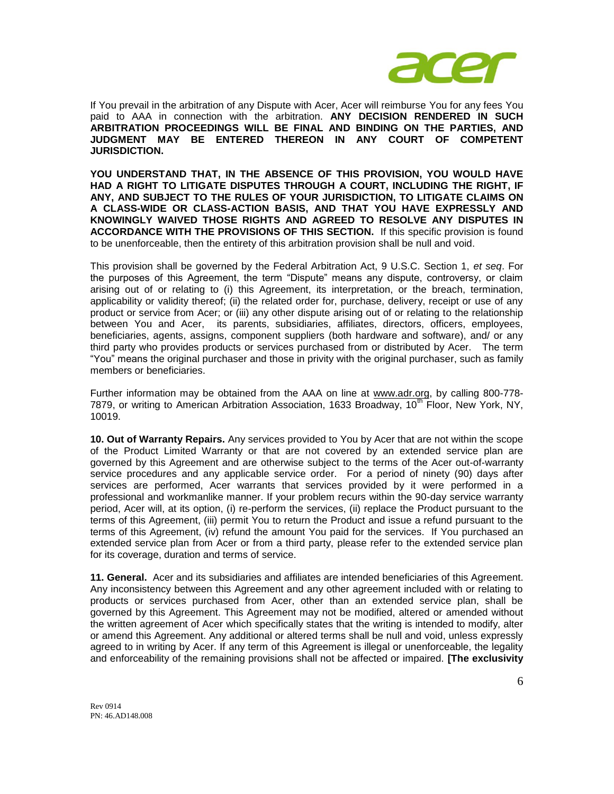

If You prevail in the arbitration of any Dispute with Acer, Acer will reimburse You for any fees You paid to AAA in connection with the arbitration. **ANY DECISION RENDERED IN SUCH ARBITRATION PROCEEDINGS WILL BE FINAL AND BINDING ON THE PARTIES, AND JUDGMENT MAY BE ENTERED THEREON IN ANY COURT OF COMPETENT JURISDICTION.**

**YOU UNDERSTAND THAT, IN THE ABSENCE OF THIS PROVISION, YOU WOULD HAVE HAD A RIGHT TO LITIGATE DISPUTES THROUGH A COURT, INCLUDING THE RIGHT, IF ANY, AND SUBJECT TO THE RULES OF YOUR JURISDICTION, TO LITIGATE CLAIMS ON A CLASS-WIDE OR CLASS-ACTION BASIS, AND THAT YOU HAVE EXPRESSLY AND KNOWINGLY WAIVED THOSE RIGHTS AND AGREED TO RESOLVE ANY DISPUTES IN ACCORDANCE WITH THE PROVISIONS OF THIS SECTION.** If this specific provision is found to be unenforceable, then the entirety of this arbitration provision shall be null and void.

This provision shall be governed by the Federal Arbitration Act, 9 U.S.C. Section 1, *et seq*. For the purposes of this Agreement, the term "Dispute" means any dispute, controversy, or claim arising out of or relating to (i) this Agreement, its interpretation, or the breach, termination, applicability or validity thereof; (ii) the related order for, purchase, delivery, receipt or use of any product or service from Acer; or (iii) any other dispute arising out of or relating to the relationship between You and Acer, its parents, subsidiaries, affiliates, directors, officers, employees, beneficiaries, agents, assigns, component suppliers (both hardware and software), and/ or any third party who provides products or services purchased from or distributed by Acer. The term "You" means the original purchaser and those in privity with the original purchaser, such as family members or beneficiaries.

Further information may be obtained from the AAA on line at www.adr.org, by calling 800-778- 7879, or writing to American Arbitration Association, 1633 Broadway, 10<sup>th</sup> Floor, New York, NY, 10019.

**10. Out of Warranty Repairs.** Any services provided to You by Acer that are not within the scope of the Product Limited Warranty or that are not covered by an extended service plan are governed by this Agreement and are otherwise subject to the terms of the Acer out-of-warranty service procedures and any applicable service order. For a period of ninety (90) days after services are performed, Acer warrants that services provided by it were performed in a professional and workmanlike manner. If your problem recurs within the 90-day service warranty period, Acer will, at its option, (i) re-perform the services, (ii) replace the Product pursuant to the terms of this Agreement, (iii) permit You to return the Product and issue a refund pursuant to the terms of this Agreement, (iv) refund the amount You paid for the services. If You purchased an extended service plan from Acer or from a third party, please refer to the extended service plan for its coverage, duration and terms of service.

**11. General.** Acer and its subsidiaries and affiliates are intended beneficiaries of this Agreement. Any inconsistency between this Agreement and any other agreement included with or relating to products or services purchased from Acer, other than an extended service plan, shall be governed by this Agreement. This Agreement may not be modified, altered or amended without the written agreement of Acer which specifically states that the writing is intended to modify, alter or amend this Agreement. Any additional or altered terms shall be null and void, unless expressly agreed to in writing by Acer. If any term of this Agreement is illegal or unenforceable, the legality and enforceability of the remaining provisions shall not be affected or impaired. **[The exclusivity**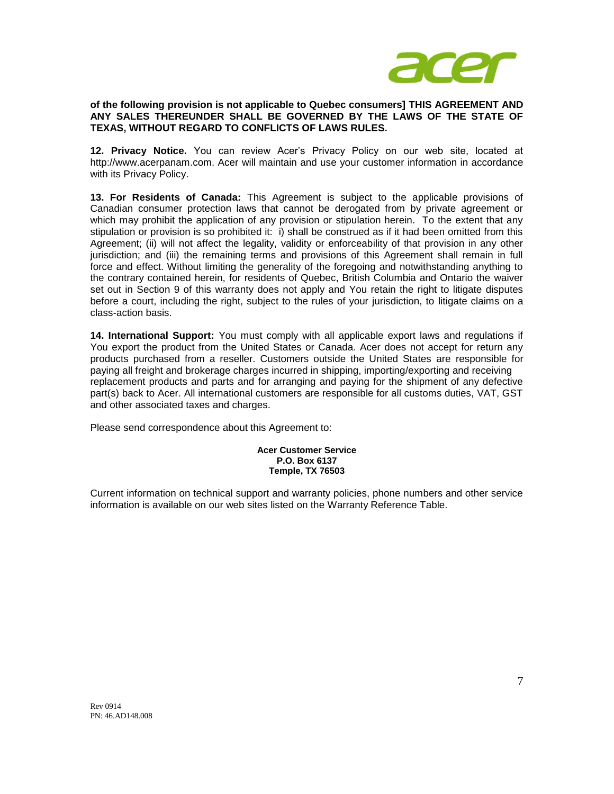

## **of the following provision is not applicable to Quebec consumers] THIS AGREEMENT AND ANY SALES THEREUNDER SHALL BE GOVERNED BY THE LAWS OF THE STATE OF TEXAS, WITHOUT REGARD TO CONFLICTS OF LAWS RULES.**

**12. Privacy Notice.** You can review Acer's Privacy Policy on our web site, located at http://www.acerpanam.com. Acer will maintain and use your customer information in accordance with its Privacy Policy.

**13. For Residents of Canada:** This Agreement is subject to the applicable provisions of Canadian consumer protection laws that cannot be derogated from by private agreement or which may prohibit the application of any provision or stipulation herein. To the extent that any stipulation or provision is so prohibited it: i) shall be construed as if it had been omitted from this Agreement; (ii) will not affect the legality, validity or enforceability of that provision in any other jurisdiction; and (iii) the remaining terms and provisions of this Agreement shall remain in full force and effect. Without limiting the generality of the foregoing and notwithstanding anything to the contrary contained herein, for residents of Quebec, British Columbia and Ontario the waiver set out in Section 9 of this warranty does not apply and You retain the right to litigate disputes before a court, including the right, subject to the rules of your jurisdiction, to litigate claims on a class-action basis.

**14. International Support:** You must comply with all applicable export laws and regulations if You export the product from the United States or Canada. Acer does not accept for return any products purchased from a reseller. Customers outside the United States are responsible for paying all freight and brokerage charges incurred in shipping, importing/exporting and receiving replacement products and parts and for arranging and paying for the shipment of any defective part(s) back to Acer. All international customers are responsible for all customs duties, VAT, GST and other associated taxes and charges.

Please send correspondence about this Agreement to:

### **Acer Customer Service P.O. Box 6137 Temple, TX 76503**

Current information on technical support and warranty policies, phone numbers and other service information is available on our web sites listed on the Warranty Reference Table.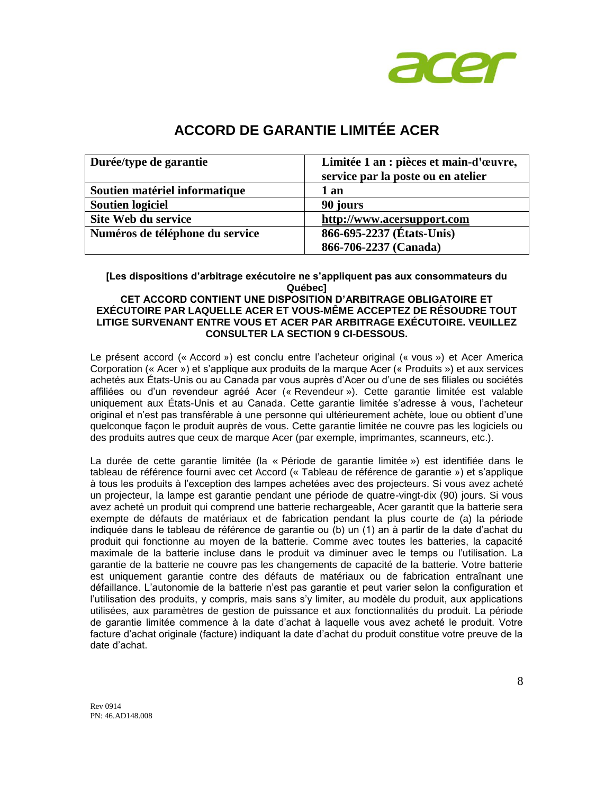

# **ACCORD DE GARANTIE LIMITÉE ACER**

| Durée/type de garantie          | Limitée 1 an : pièces et main-d'œuvre, |
|---------------------------------|----------------------------------------|
|                                 | service par la poste ou en atelier     |
| Soutien matériel informatique   | 1 an                                   |
| <b>Soutien logiciel</b>         | 90 jours                               |
| Site Web du service             | http://www.acersupport.com             |
| Numéros de téléphone du service | 866-695-2237 (États-Unis)              |
|                                 | 866-706-2237 (Canada)                  |

**[Les dispositions d'arbitrage exécutoire ne s'appliquent pas aux consommateurs du Québec]**

## **CET ACCORD CONTIENT UNE DISPOSITION D'ARBITRAGE OBLIGATOIRE ET EXÉCUTOIRE PAR LAQUELLE ACER ET VOUS-MÊME ACCEPTEZ DE RÉSOUDRE TOUT LITIGE SURVENANT ENTRE VOUS ET ACER PAR ARBITRAGE EXÉCUTOIRE. VEUILLEZ CONSULTER LA SECTION 9 CI-DESSOUS.**

Le présent accord (« Accord ») est conclu entre l'acheteur original (« vous ») et Acer America Corporation (« Acer ») et s'applique aux produits de la marque Acer (« Produits ») et aux services achetés aux États-Unis ou au Canada par vous auprès d'Acer ou d'une de ses filiales ou sociétés affiliées ou d'un revendeur agréé Acer (« Revendeur »). Cette garantie limitée est valable uniquement aux États-Unis et au Canada. Cette garantie limitée s'adresse à vous, l'acheteur original et n'est pas transférable à une personne qui ultérieurement achète, loue ou obtient d'une quelconque façon le produit auprès de vous. Cette garantie limitée ne couvre pas les logiciels ou des produits autres que ceux de marque Acer (par exemple, imprimantes, scanneurs, etc.).

La durée de cette garantie limitée (la « Période de garantie limitée ») est identifiée dans le tableau de référence fourni avec cet Accord (« Tableau de référence de garantie ») et s'applique à tous les produits à l'exception des lampes achetées avec des projecteurs. Si vous avez acheté un projecteur, la lampe est garantie pendant une période de quatre-vingt-dix (90) jours. Si vous avez acheté un produit qui comprend une batterie rechargeable, Acer garantit que la batterie sera exempte de défauts de matériaux et de fabrication pendant la plus courte de (a) la période indiquée dans le tableau de référence de garantie ou (b) un (1) an à partir de la date d'achat du produit qui fonctionne au moyen de la batterie. Comme avec toutes les batteries, la capacité maximale de la batterie incluse dans le produit va diminuer avec le temps ou l'utilisation. La garantie de la batterie ne couvre pas les changements de capacité de la batterie. Votre batterie est uniquement garantie contre des défauts de matériaux ou de fabrication entraînant une défaillance. L'autonomie de la batterie n'est pas garantie et peut varier selon la configuration et l'utilisation des produits, y compris, mais sans s'y limiter, au modèle du produit, aux applications utilisées, aux paramètres de gestion de puissance et aux fonctionnalités du produit. La période de garantie limitée commence à la date d'achat à laquelle vous avez acheté le produit. Votre facture d'achat originale (facture) indiquant la date d'achat du produit constitue votre preuve de la date d'achat.

Rev 0914 PN: 46.AD148.008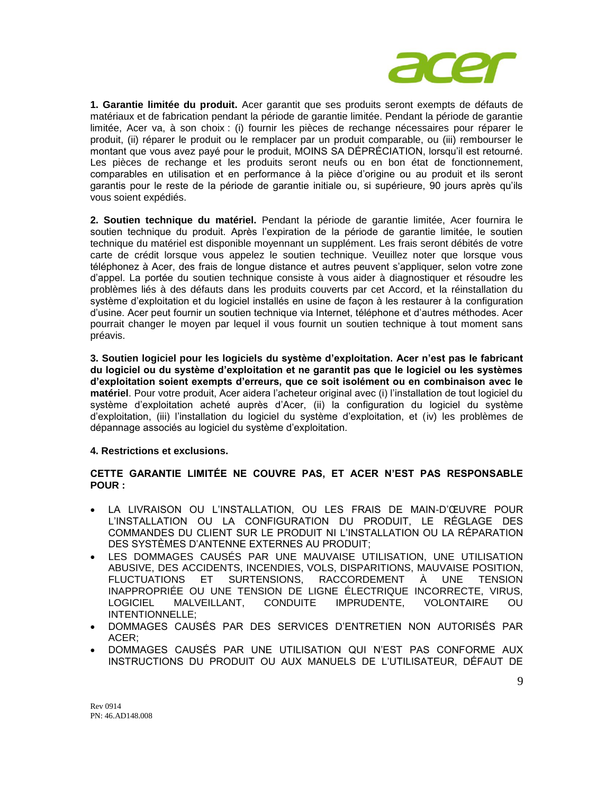

**1. Garantie limitée du produit.** Acer garantit que ses produits seront exempts de défauts de matériaux et de fabrication pendant la période de garantie limitée. Pendant la période de garantie limitée, Acer va, à son choix : (i) fournir les pièces de rechange nécessaires pour réparer le produit, (ii) réparer le produit ou le remplacer par un produit comparable, ou (iii) rembourser le montant que vous avez payé pour le produit, MOINS SA DÉPRÉCIATION, lorsqu'il est retourné. Les pièces de rechange et les produits seront neufs ou en bon état de fonctionnement, comparables en utilisation et en performance à la pièce d'origine ou au produit et ils seront garantis pour le reste de la période de garantie initiale ou, si supérieure, 90 jours après qu'ils vous soient expédiés.

**2. Soutien technique du matériel.** Pendant la période de garantie limitée, Acer fournira le soutien technique du produit. Après l'expiration de la période de garantie limitée, le soutien technique du matériel est disponible moyennant un supplément. Les frais seront débités de votre carte de crédit lorsque vous appelez le soutien technique. Veuillez noter que lorsque vous téléphonez à Acer, des frais de longue distance et autres peuvent s'appliquer, selon votre zone d'appel. La portée du soutien technique consiste à vous aider à diagnostiquer et résoudre les problèmes liés à des défauts dans les produits couverts par cet Accord, et la réinstallation du système d'exploitation et du logiciel installés en usine de façon à les restaurer à la configuration d'usine. Acer peut fournir un soutien technique via Internet, téléphone et d'autres méthodes. Acer pourrait changer le moyen par lequel il vous fournit un soutien technique à tout moment sans préavis.

**3. Soutien logiciel pour les logiciels du système d'exploitation. Acer n'est pas le fabricant du logiciel ou du système d'exploitation et ne garantit pas que le logiciel ou les systèmes d'exploitation soient exempts d'erreurs, que ce soit isolément ou en combinaison avec le matériel**. Pour votre produit, Acer aidera l'acheteur original avec (i) l'installation de tout logiciel du système d'exploitation acheté auprès d'Acer, (ii) la configuration du logiciel du système d'exploitation, (iii) l'installation du logiciel du système d'exploitation, et (iv) les problèmes de dépannage associés au logiciel du système d'exploitation.

## **4. Restrictions et exclusions.**

## **CETTE GARANTIE LIMITÉE NE COUVRE PAS, ET ACER N'EST PAS RESPONSABLE POUR :**

- LA LIVRAISON OU L'INSTALLATION, OU LES FRAIS DE MAIN-D'ŒUVRE POUR L'INSTALLATION OU LA CONFIGURATION DU PRODUIT, LE RÉGLAGE DES COMMANDES DU CLIENT SUR LE PRODUIT NI L'INSTALLATION OU LA RÉPARATION DES SYSTÈMES D'ANTENNE EXTERNES AU PRODUIT;
- LES DOMMAGES CAUSÉS PAR UNE MAUVAISE UTILISATION, UNE UTILISATION ABUSIVE, DES ACCIDENTS, INCENDIES, VOLS, DISPARITIONS, MAUVAISE POSITION, FLUCTUATIONS ET SURTENSIONS, RACCORDEMENT À UNE TENSION INAPPROPRIÉE OU UNE TENSION DE LIGNE ÉLECTRIQUE INCORRECTE, VIRUS, LOGICIEL MALVEILLANT, CONDUITE IMPRUDENTE, VOLONTAIRE OU INTENTIONNELLE;
- DOMMAGES CAUSÉS PAR DES SERVICES D'ENTRETIEN NON AUTORISÉS PAR ACER;
- DOMMAGES CAUSÉS PAR UNE UTILISATION QUI N'EST PAS CONFORME AUX INSTRUCTIONS DU PRODUIT OU AUX MANUELS DE L'UTILISATEUR, DÉFAUT DE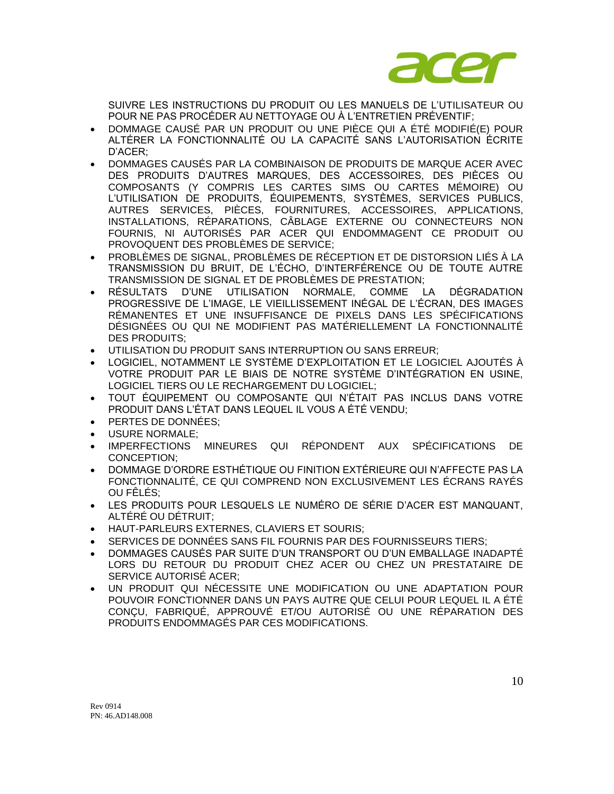

SUIVRE LES INSTRUCTIONS DU PRODUIT OU LES MANUELS DE L'UTILISATEUR OU POUR NE PAS PROCÉDER AU NETTOYAGE OU À L'ENTRETIEN PRÉVENTIF;

- DOMMAGE CAUSÉ PAR UN PRODUIT OU UNE PIÈCE QUI A ÉTÉ MODIFIÉ(E) POUR ALTÉRER LA FONCTIONNALITÉ OU LA CAPACITÉ SANS L'AUTORISATION ÉCRITE D'ACER;
- DOMMAGES CAUSÉS PAR LA COMBINAISON DE PRODUITS DE MARQUE ACER AVEC DES PRODUITS D'AUTRES MARQUES, DES ACCESSOIRES, DES PIÈCES OU COMPOSANTS (Y COMPRIS LES CARTES SIMS OU CARTES MÉMOIRE) OU L'UTILISATION DE PRODUITS, ÉQUIPEMENTS, SYSTÈMES, SERVICES PUBLICS, AUTRES SERVICES, PIÈCES, FOURNITURES, ACCESSOIRES, APPLICATIONS, INSTALLATIONS, RÉPARATIONS, CÂBLAGE EXTERNE OU CONNECTEURS NON FOURNIS, NI AUTORISÉS PAR ACER QUI ENDOMMAGENT CE PRODUIT OU PROVOQUENT DES PROBLÈMES DE SERVICE;
- PROBLÈMES DE SIGNAL, PROBLÈMES DE RÉCEPTION ET DE DISTORSION LIÉS À LA TRANSMISSION DU BRUIT, DE L'ÉCHO, D'INTERFÉRENCE OU DE TOUTE AUTRE TRANSMISSION DE SIGNAL ET DE PROBLÈMES DE PRESTATION;
- RÉSULTATS D'UNE UTILISATION NORMALE, COMME LA DÉGRADATION PROGRESSIVE DE L'IMAGE, LE VIEILLISSEMENT INÉGAL DE L'ÉCRAN, DES IMAGES RÉMANENTES ET UNE INSUFFISANCE DE PIXELS DANS LES SPÉCIFICATIONS DÉSIGNÉES OU QUI NE MODIFIENT PAS MATÉRIELLEMENT LA FONCTIONNALITÉ DES PRODUITS;
- UTILISATION DU PRODUIT SANS INTERRUPTION OU SANS ERREUR;
- LOGICIEL, NOTAMMENT LE SYSTÈME D'EXPLOITATION ET LE LOGICIEL AJOUTÉS À VOTRE PRODUIT PAR LE BIAIS DE NOTRE SYSTÈME D'INTÉGRATION EN USINE, LOGICIEL TIERS OU LE RECHARGEMENT DU LOGICIEL;
- TOUT ÉQUIPEMENT OU COMPOSANTE QUI N'ÉTAIT PAS INCLUS DANS VOTRE PRODUIT DANS L'ÉTAT DANS LEQUEL IL VOUS A ÉTÉ VENDU;
- PERTES DE DONNÉES;
- USURE NORMALE;
- IMPERFECTIONS MINEURES QUI RÉPONDENT AUX SPÉCIFICATIONS DE CONCEPTION;
- DOMMAGE D'ORDRE ESTHÉTIQUE OU FINITION EXTÉRIEURE QUI N'AFFECTE PAS LA FONCTIONNALITÉ, CE QUI COMPREND NON EXCLUSIVEMENT LES ÉCRANS RAYÉS OU FÊLÉS;
- LES PRODUITS POUR LESQUELS LE NUMÉRO DE SÉRIE D'ACER EST MANQUANT, ALTÉRÉ OU DÉTRUIT;
- HAUT-PARLEURS EXTERNES, CLAVIERS ET SOURIS;
- SERVICES DE DONNÉES SANS FIL FOURNIS PAR DES FOURNISSEURS TIERS;
- DOMMAGES CAUSÉS PAR SUITE D'UN TRANSPORT OU D'UN EMBALLAGE INADAPTÉ LORS DU RETOUR DU PRODUIT CHEZ ACER OU CHEZ UN PRESTATAIRE DE SERVICE AUTORISÉ ACER;
- UN PRODUIT QUI NÉCESSITE UNE MODIFICATION OU UNE ADAPTATION POUR POUVOIR FONCTIONNER DANS UN PAYS AUTRE QUE CELUI POUR LEQUEL IL A ÉTÉ CONÇU, FABRIQUÉ, APPROUVÉ ET/OU AUTORISÉ OU UNE RÉPARATION DES PRODUITS ENDOMMAGÉS PAR CES MODIFICATIONS.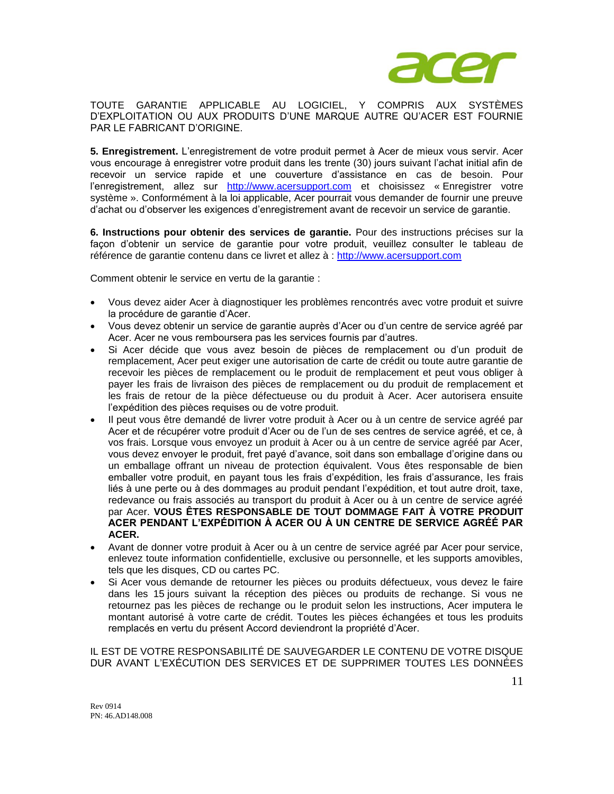

TOUTE GARANTIE APPLICABLE AU LOGICIEL, Y COMPRIS AUX SYSTÈMES D'EXPLOITATION OU AUX PRODUITS D'UNE MARQUE AUTRE QU'ACER EST FOURNIE PAR LE FABRICANT D'ORIGINE.

**5. Enregistrement.** L'enregistrement de votre produit permet à Acer de mieux vous servir. Acer vous encourage à enregistrer votre produit dans les trente (30) jours suivant l'achat initial afin de recevoir un service rapide et une couverture d'assistance en cas de besoin. Pour l'enregistrement, allez sur [http://www.acersupport.com](http://www.acersupport.com/) et choisissez « Enregistrer votre système ». Conformément à la loi applicable, Acer pourrait vous demander de fournir une preuve d'achat ou d'observer les exigences d'enregistrement avant de recevoir un service de garantie.

**6. Instructions pour obtenir des services de garantie.** Pour des instructions précises sur la façon d'obtenir un service de garantie pour votre produit, veuillez consulter le tableau de référence de garantie contenu dans ce livret et allez à : [http://www.acersupport.com](http://www.acersupport.com/)

Comment obtenir le service en vertu de la garantie :

- Vous devez aider Acer à diagnostiquer les problèmes rencontrés avec votre produit et suivre la procédure de garantie d'Acer.
- Vous devez obtenir un service de garantie auprès d'Acer ou d'un centre de service agréé par Acer. Acer ne vous remboursera pas les services fournis par d'autres.
- Si Acer décide que vous avez besoin de pièces de remplacement ou d'un produit de remplacement, Acer peut exiger une autorisation de carte de crédit ou toute autre garantie de recevoir les pièces de remplacement ou le produit de remplacement et peut vous obliger à payer les frais de livraison des pièces de remplacement ou du produit de remplacement et les frais de retour de la pièce défectueuse ou du produit à Acer. Acer autorisera ensuite l'expédition des pièces requises ou de votre produit.
- Il peut vous être demandé de livrer votre produit à Acer ou à un centre de service agréé par Acer et de récupérer votre produit d'Acer ou de l'un de ses centres de service agréé, et ce, à vos frais. Lorsque vous envoyez un produit à Acer ou à un centre de service agréé par Acer, vous devez envoyer le produit, fret payé d'avance, soit dans son emballage d'origine dans ou un emballage offrant un niveau de protection équivalent. Vous êtes responsable de bien emballer votre produit, en payant tous les frais d'expédition, les frais d'assurance, les frais liés à une perte ou à des dommages au produit pendant l'expédition, et tout autre droit, taxe, redevance ou frais associés au transport du produit à Acer ou à un centre de service agréé par Acer. **VOUS ÊTES RESPONSABLE DE TOUT DOMMAGE FAIT À VOTRE PRODUIT ACER PENDANT L'EXPÉDITION À ACER OU À UN CENTRE DE SERVICE AGRÉÉ PAR ACER.**
- Avant de donner votre produit à Acer ou à un centre de service agréé par Acer pour service, enlevez toute information confidentielle, exclusive ou personnelle, et les supports amovibles, tels que les disques, CD ou cartes PC.
- Si Acer vous demande de retourner les pièces ou produits défectueux, vous devez le faire dans les 15 jours suivant la réception des pièces ou produits de rechange. Si vous ne retournez pas les pièces de rechange ou le produit selon les instructions, Acer imputera le montant autorisé à votre carte de crédit. Toutes les pièces échangées et tous les produits remplacés en vertu du présent Accord deviendront la propriété d'Acer.

IL EST DE VOTRE RESPONSABILITÉ DE SAUVEGARDER LE CONTENU DE VOTRE DISQUE DUR AVANT L'EXÉCUTION DES SERVICES ET DE SUPPRIMER TOUTES LES DONNÉES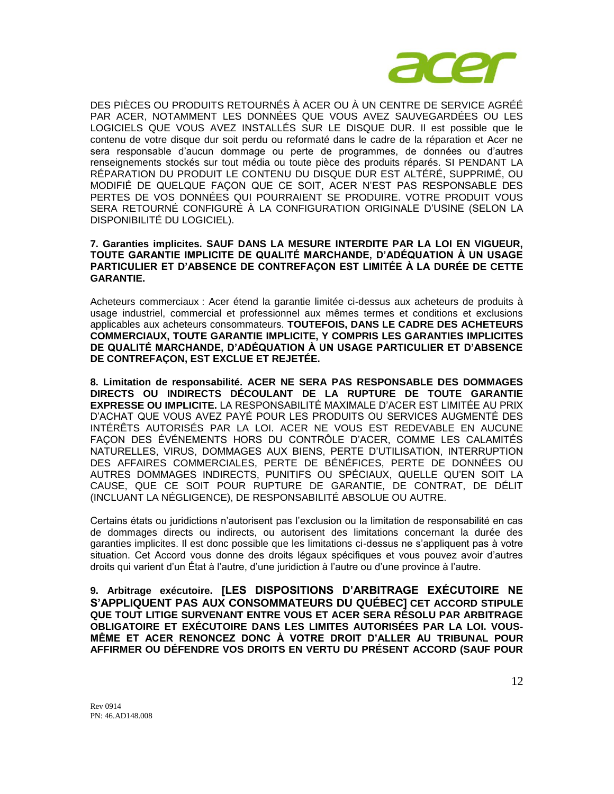

DES PIÈCES OU PRODUITS RETOURNÉS À ACER OU À UN CENTRE DE SERVICE AGRÉÉ PAR ACER, NOTAMMENT LES DONNÉES QUE VOUS AVEZ SAUVEGARDÉES OU LES LOGICIELS QUE VOUS AVEZ INSTALLÉS SUR LE DISQUE DUR. Il est possible que le contenu de votre disque dur soit perdu ou reformaté dans le cadre de la réparation et Acer ne sera responsable d'aucun dommage ou perte de programmes, de données ou d'autres renseignements stockés sur tout média ou toute pièce des produits réparés. SI PENDANT LA RÉPARATION DU PRODUIT LE CONTENU DU DISQUE DUR EST ALTÉRÉ, SUPPRIMÉ, OU MODIFIÉ DE QUELQUE FAÇON QUE CE SOIT, ACER N'EST PAS RESPONSABLE DES PERTES DE VOS DONNÉES QUI POURRAIENT SE PRODUIRE. VOTRE PRODUIT VOUS SERA RETOURNÉ CONFIGURÉ À LA CONFIGURATION ORIGINALE D'USINE (SELON LA DISPONIBILITÉ DU LOGICIEL).

## **7. Garanties implicites. SAUF DANS LA MESURE INTERDITE PAR LA LOI EN VIGUEUR, TOUTE GARANTIE IMPLICITE DE QUALITÉ MARCHANDE, D'ADÉQUATION À UN USAGE PARTICULIER ET D'ABSENCE DE CONTREFAÇON EST LIMITÉE À LA DURÉE DE CETTE GARANTIE.**

Acheteurs commerciaux : Acer étend la garantie limitée ci-dessus aux acheteurs de produits à usage industriel, commercial et professionnel aux mêmes termes et conditions et exclusions applicables aux acheteurs consommateurs. **TOUTEFOIS, DANS LE CADRE DES ACHETEURS COMMERCIAUX, TOUTE GARANTIE IMPLICITE, Y COMPRIS LES GARANTIES IMPLICITES DE QUALITÉ MARCHANDE, D'ADÉQUATION À UN USAGE PARTICULIER ET D'ABSENCE DE CONTREFAÇON, EST EXCLUE ET REJETÉE.** 

**8. Limitation de responsabilité. ACER NE SERA PAS RESPONSABLE DES DOMMAGES DIRECTS OU INDIRECTS DÉCOULANT DE LA RUPTURE DE TOUTE GARANTIE EXPRESSE OU IMPLICITE.** LA RESPONSABILITÉ MAXIMALE D'ACER EST LIMITÉE AU PRIX D'ACHAT QUE VOUS AVEZ PAYÉ POUR LES PRODUITS OU SERVICES AUGMENTÉ DES INTÉRÊTS AUTORISÉS PAR LA LOI. ACER NE VOUS EST REDEVABLE EN AUCUNE FAÇON DES ÉVÉNEMENTS HORS DU CONTRÔLE D'ACER, COMME LES CALAMITÉS NATURELLES, VIRUS, DOMMAGES AUX BIENS, PERTE D'UTILISATION, INTERRUPTION DES AFFAIRES COMMERCIALES, PERTE DE BÉNÉFICES, PERTE DE DONNÉES OU AUTRES DOMMAGES INDIRECTS, PUNITIFS OU SPÉCIAUX, QUELLE QU'EN SOIT LA CAUSE, QUE CE SOIT POUR RUPTURE DE GARANTIE, DE CONTRAT, DE DÉLIT (INCLUANT LA NÉGLIGENCE), DE RESPONSABILITÉ ABSOLUE OU AUTRE.

Certains états ou juridictions n'autorisent pas l'exclusion ou la limitation de responsabilité en cas de dommages directs ou indirects, ou autorisent des limitations concernant la durée des garanties implicites. Il est donc possible que les limitations ci-dessus ne s'appliquent pas à votre situation. Cet Accord vous donne des droits légaux spécifiques et vous pouvez avoir d'autres droits qui varient d'un État à l'autre, d'une juridiction à l'autre ou d'une province à l'autre.

**9. Arbitrage exécutoire. [LES DISPOSITIONS D'ARBITRAGE EXÉCUTOIRE NE S'APPLIQUENT PAS AUX CONSOMMATEURS DU QUÉBEC] CET ACCORD STIPULE QUE TOUT LITIGE SURVENANT ENTRE VOUS ET ACER SERA RÉSOLU PAR ARBITRAGE OBLIGATOIRE ET EXÉCUTOIRE DANS LES LIMITES AUTORISÉES PAR LA LOI. VOUS-MÊME ET ACER RENONCEZ DONC À VOTRE DROIT D'ALLER AU TRIBUNAL POUR AFFIRMER OU DÉFENDRE VOS DROITS EN VERTU DU PRÉSENT ACCORD (SAUF POUR**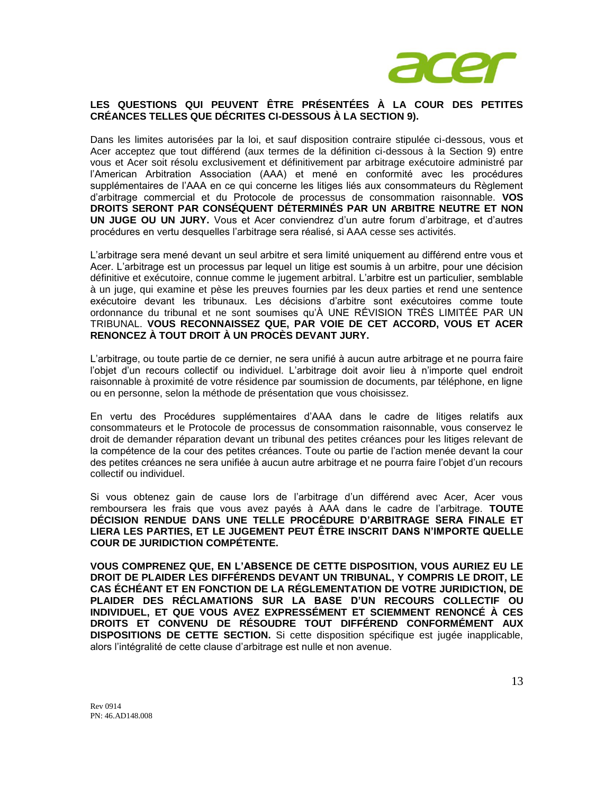

## **LES QUESTIONS QUI PEUVENT ÊTRE PRÉSENTÉES À LA COUR DES PETITES CRÉANCES TELLES QUE DÉCRITES CI-DESSOUS À LA SECTION 9).**

Dans les limites autorisées par la loi, et sauf disposition contraire stipulée ci-dessous, vous et Acer acceptez que tout différend (aux termes de la définition ci-dessous à la Section 9) entre vous et Acer soit résolu exclusivement et définitivement par arbitrage exécutoire administré par l'American Arbitration Association (AAA) et mené en conformité avec les procédures supplémentaires de l'AAA en ce qui concerne les litiges liés aux consommateurs du Règlement d'arbitrage commercial et du Protocole de processus de consommation raisonnable. **VOS DROITS SERONT PAR CONSÉQUENT DÉTERMINÉS PAR UN ARBITRE NEUTRE ET NON UN JUGE OU UN JURY.** Vous et Acer conviendrez d'un autre forum d'arbitrage, et d'autres procédures en vertu desquelles l'arbitrage sera réalisé, si AAA cesse ses activités.

L'arbitrage sera mené devant un seul arbitre et sera limité uniquement au différend entre vous et Acer. L'arbitrage est un processus par lequel un litige est soumis à un arbitre, pour une décision définitive et exécutoire, connue comme le jugement arbitral. L'arbitre est un particulier, semblable à un juge, qui examine et pèse les preuves fournies par les deux parties et rend une sentence exécutoire devant les tribunaux. Les décisions d'arbitre sont exécutoires comme toute ordonnance du tribunal et ne sont soumises qu'À UNE RÉVISION TRÈS LIMITÉE PAR UN TRIBUNAL. **VOUS RECONNAISSEZ QUE, PAR VOIE DE CET ACCORD, VOUS ET ACER RENONCEZ À TOUT DROIT À UN PROCÈS DEVANT JURY.** 

L'arbitrage, ou toute partie de ce dernier, ne sera unifié à aucun autre arbitrage et ne pourra faire l'objet d'un recours collectif ou individuel. L'arbitrage doit avoir lieu à n'importe quel endroit raisonnable à proximité de votre résidence par soumission de documents, par téléphone, en ligne ou en personne, selon la méthode de présentation que vous choisissez.

En vertu des Procédures supplémentaires d'AAA dans le cadre de litiges relatifs aux consommateurs et le Protocole de processus de consommation raisonnable, vous conservez le droit de demander réparation devant un tribunal des petites créances pour les litiges relevant de la compétence de la cour des petites créances. Toute ou partie de l'action menée devant la cour des petites créances ne sera unifiée à aucun autre arbitrage et ne pourra faire l'objet d'un recours collectif ou individuel.

Si vous obtenez gain de cause lors de l'arbitrage d'un différend avec Acer, Acer vous remboursera les frais que vous avez payés à AAA dans le cadre de l'arbitrage. **TOUTE DÉCISION RENDUE DANS UNE TELLE PROCÉDURE D'ARBITRAGE SERA FINALE ET LIERA LES PARTIES, ET LE JUGEMENT PEUT ÊTRE INSCRIT DANS N'IMPORTE QUELLE COUR DE JURIDICTION COMPÉTENTE.** 

**VOUS COMPRENEZ QUE, EN L'ABSENCE DE CETTE DISPOSITION, VOUS AURIEZ EU LE DROIT DE PLAIDER LES DIFFÉRENDS DEVANT UN TRIBUNAL, Y COMPRIS LE DROIT, LE CAS ÉCHÉANT ET EN FONCTION DE LA RÉGLEMENTATION DE VOTRE JURIDICTION, DE PLAIDER DES RÉCLAMATIONS SUR LA BASE D'UN RECOURS COLLECTIF OU INDIVIDUEL, ET QUE VOUS AVEZ EXPRESSÉMENT ET SCIEMMENT RENONCÉ À CES DROITS ET CONVENU DE RÉSOUDRE TOUT DIFFÉREND CONFORMÉMENT AUX DISPOSITIONS DE CETTE SECTION.** Si cette disposition spécifique est jugée inapplicable, alors l'intégralité de cette clause d'arbitrage est nulle et non avenue.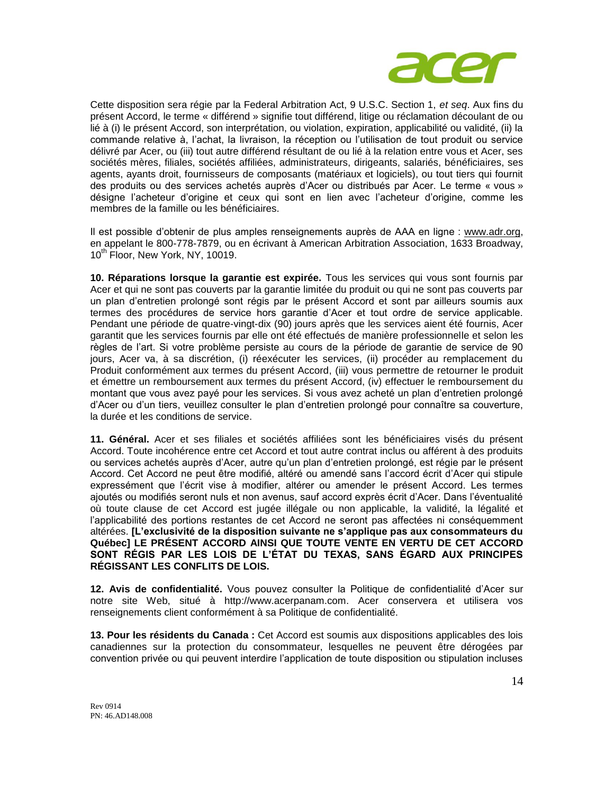

Cette disposition sera régie par la Federal Arbitration Act, 9 U.S.C. Section 1, *et seq*. Aux fins du présent Accord, le terme « différend » signifie tout différend, litige ou réclamation découlant de ou lié à (i) le présent Accord, son interprétation, ou violation, expiration, applicabilité ou validité, (ii) la commande relative à, l'achat, la livraison, la réception ou l'utilisation de tout produit ou service délivré par Acer, ou (iii) tout autre différend résultant de ou lié à la relation entre vous et Acer, ses sociétés mères, filiales, sociétés affiliées, administrateurs, dirigeants, salariés, bénéficiaires, ses agents, ayants droit, fournisseurs de composants (matériaux et logiciels), ou tout tiers qui fournit des produits ou des services achetés auprès d'Acer ou distribués par Acer. Le terme « vous » désigne l'acheteur d'origine et ceux qui sont en lien avec l'acheteur d'origine, comme les membres de la famille ou les bénéficiaires.

Il est possible d'obtenir de plus amples renseignements auprès de AAA en ligne : www.adr.org, en appelant le 800-778-7879, ou en écrivant à American Arbitration Association, 1633 Broadway, 10<sup>th</sup> Floor, New York, NY, 10019.

**10. Réparations lorsque la garantie est expirée.** Tous les services qui vous sont fournis par Acer et qui ne sont pas couverts par la garantie limitée du produit ou qui ne sont pas couverts par un plan d'entretien prolongé sont régis par le présent Accord et sont par ailleurs soumis aux termes des procédures de service hors garantie d'Acer et tout ordre de service applicable. Pendant une période de quatre-vingt-dix (90) jours après que les services aient été fournis, Acer garantit que les services fournis par elle ont été effectués de manière professionnelle et selon les règles de l'art. Si votre problème persiste au cours de la période de garantie de service de 90 jours, Acer va, à sa discrétion, (i) réexécuter les services, (ii) procéder au remplacement du Produit conformément aux termes du présent Accord, (iii) vous permettre de retourner le produit et émettre un remboursement aux termes du présent Accord, (iv) effectuer le remboursement du montant que vous avez payé pour les services. Si vous avez acheté un plan d'entretien prolongé d'Acer ou d'un tiers, veuillez consulter le plan d'entretien prolongé pour connaître sa couverture, la durée et les conditions de service.

**11. Général.** Acer et ses filiales et sociétés affiliées sont les bénéficiaires visés du présent Accord. Toute incohérence entre cet Accord et tout autre contrat inclus ou afférent à des produits ou services achetés auprès d'Acer, autre qu'un plan d'entretien prolongé, est régie par le présent Accord. Cet Accord ne peut être modifié, altéré ou amendé sans l'accord écrit d'Acer qui stipule expressément que l'écrit vise à modifier, altérer ou amender le présent Accord. Les termes ajoutés ou modifiés seront nuls et non avenus, sauf accord exprès écrit d'Acer. Dans l'éventualité où toute clause de cet Accord est jugée illégale ou non applicable, la validité, la légalité et l'applicabilité des portions restantes de cet Accord ne seront pas affectées ni conséquemment altérées. **[L'exclusivité de la disposition suivante ne s'applique pas aux consommateurs du Québec] LE PRÉSENT ACCORD AINSI QUE TOUTE VENTE EN VERTU DE CET ACCORD SONT RÉGIS PAR LES LOIS DE L'ÉTAT DU TEXAS, SANS ÉGARD AUX PRINCIPES RÉGISSANT LES CONFLITS DE LOIS.** 

**12. Avis de confidentialité.** Vous pouvez consulter la Politique de confidentialité d'Acer sur notre site Web, situé à http://www.acerpanam.com. Acer conservera et utilisera vos renseignements client conformément à sa Politique de confidentialité.

**13. Pour les résidents du Canada :** Cet Accord est soumis aux dispositions applicables des lois canadiennes sur la protection du consommateur, lesquelles ne peuvent être dérogées par convention privée ou qui peuvent interdire l'application de toute disposition ou stipulation incluses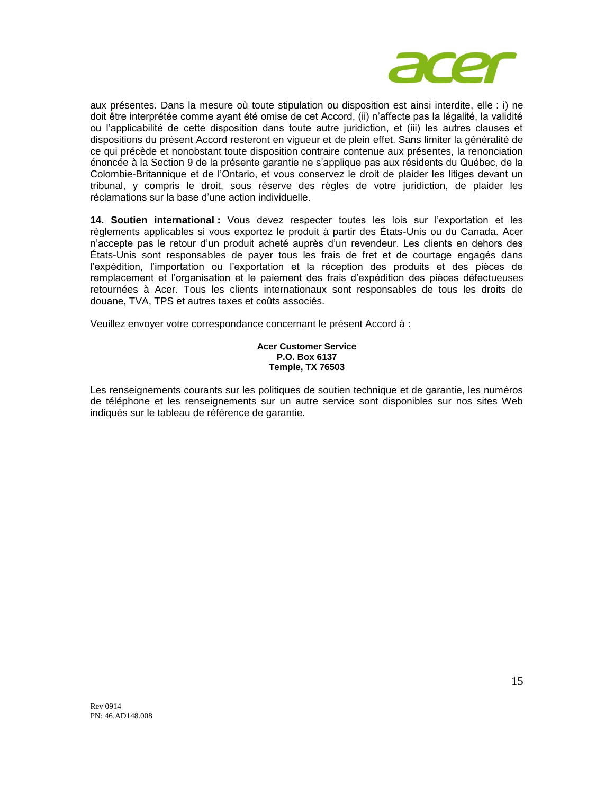

aux présentes. Dans la mesure où toute stipulation ou disposition est ainsi interdite, elle : i) ne doit être interprétée comme ayant été omise de cet Accord, (ii) n'affecte pas la légalité, la validité ou l'applicabilité de cette disposition dans toute autre juridiction, et (iii) les autres clauses et dispositions du présent Accord resteront en vigueur et de plein effet. Sans limiter la généralité de ce qui précède et nonobstant toute disposition contraire contenue aux présentes, la renonciation énoncée à la Section 9 de la présente garantie ne s'applique pas aux résidents du Québec, de la Colombie-Britannique et de l'Ontario, et vous conservez le droit de plaider les litiges devant un tribunal, y compris le droit, sous réserve des règles de votre juridiction, de plaider les réclamations sur la base d'une action individuelle.

**14. Soutien international :** Vous devez respecter toutes les lois sur l'exportation et les règlements applicables si vous exportez le produit à partir des États-Unis ou du Canada. Acer n'accepte pas le retour d'un produit acheté auprès d'un revendeur. Les clients en dehors des États-Unis sont responsables de payer tous les frais de fret et de courtage engagés dans l'expédition, l'importation ou l'exportation et la réception des produits et des pièces de remplacement et l'organisation et le paiement des frais d'expédition des pièces défectueuses retournées à Acer. Tous les clients internationaux sont responsables de tous les droits de douane, TVA, TPS et autres taxes et coûts associés.

Veuillez envoyer votre correspondance concernant le présent Accord à :

## **Acer Customer Service P.O. Box 6137 Temple, TX 76503**

Les renseignements courants sur les politiques de soutien technique et de garantie, les numéros de téléphone et les renseignements sur un autre service sont disponibles sur nos sites Web indiqués sur le tableau de référence de garantie.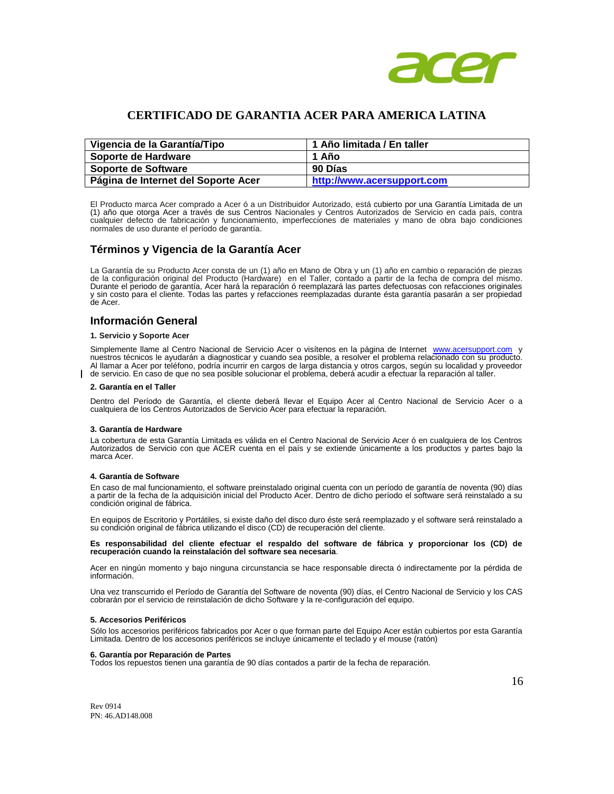

## **CERTIFICADO DE GARANTIA ACER PARA AMERICA LATINA**

| Vigencia de la Garantía/Tipo        | 1 Año limitada / En taller |
|-------------------------------------|----------------------------|
| Soporte de Hardware                 | 1 Año                      |
| Soporte de Software                 | 90 Días                    |
| Página de Internet del Soporte Acer | http://www.acersupport.com |

El Producto marca Acer comprado a Acer ó a un Distribuidor Autorizado, está cubierto por una Garantía Limitada de un (1) año que otorga Acer a través de sus Centros Nacionales y Centros Autorizados de Servicio en cada país, contra cualquier defecto de fabricación y funcionamiento, imperfecciones de materiales y mano de obra bajo condiciones normales de uso durante el período de garantía.

## **Términos y Vigencia de la Garantía Acer**

La Garantía de su Producto Acer consta de un (1) año en Mano de Obra y un (1) año en cambio o reparación de piezas de la configuración original del Producto (Hardware) en el Taller, contado a partir de la fecha de compra del mismo. Durante el periodo de garantía, Acer hará la reparación ó reemplazará las partes defectuosas con refacciones originales<br>y sin costo para el cliente. Todas las partes y refacciones reemplazadas durante ésta garantía pasarán de Acer.

## **Información General**

#### **1. Servicio y Soporte Acer**

Simplemente llame al Centro Nacional de Servicio Acer o visítenos en la página de Internet [www.acersupport.com](http://www.acersupport.com/) y nuestros técnicos le ayudarán a diagnosticar y cuando sea posible, a resolver el problema relacionado con su producto. Al llamar a Acer por teléfono, podría incurrir en cargos de larga distancia y otros cargos, según su localidad y proveedor de servicio. En caso de que no sea posible solucionar el problema, deberá acudir a efectuar la reparación al taller.

#### **2. Garantía en el Taller**

Dentro del Período de Garantía, el cliente deberá llevar el Equipo Acer al Centro Nacional de Servicio Acer o a cualquiera de los Centros Autorizados de Servicio Acer para efectuar la reparación.

#### **3. Garantía de Hardware**

La cobertura de esta Garantía Limitada es válida en el Centro Nacional de Servicio Acer ó en cualquiera de los Centros Autorizados de Servicio con que ACER cuenta en el país y se extiende únicamente a los productos y partes bajo la marca Acer.

#### **4. Garantía de Software**

En caso de mal funcionamiento, el software preinstalado original cuenta con un período de garantía de noventa (90) días a partir de la fecha de la adquisición inicial del Producto Acer. Dentro de dicho período el software será reinstalado a su condición original de fábrica.

En equipos de Escritorio y Portátiles, si existe daño del disco duro éste será reemplazado y el software será reinstalado a su condición original de fábrica utilizando el disco (CD) de recuperación del cliente.

**Es responsabilidad del cliente efectuar el respaldo del software de fábrica y proporcionar los (CD) de recuperación cuando la reinstalación del software sea necesaria**.

Acer en ningún momento y bajo ninguna circunstancia se hace responsable directa ó indirectamente por la pérdida de información.

Una vez transcurrido el Período de Garantía del Software de noventa (90) días, el Centro Nacional de Servicio y los CAS cobrarán por el servicio de reinstalación de dicho Software y la re-configuración del equipo.

#### **5. Accesorios Periféricos**

Sólo los accesorios periféricos fabricados por Acer o que forman parte del Equipo Acer están cubiertos por esta Garantía Limitada. Dentro de los accesorios periféricos se incluye únicamente el teclado y el mouse (ratón)

### **6. Garantía por Reparación de Partes**

Todos los repuestos tienen una garantía de 90 días contados a partir de la fecha de reparación.

Rev 0914 PN: 46.AD148.008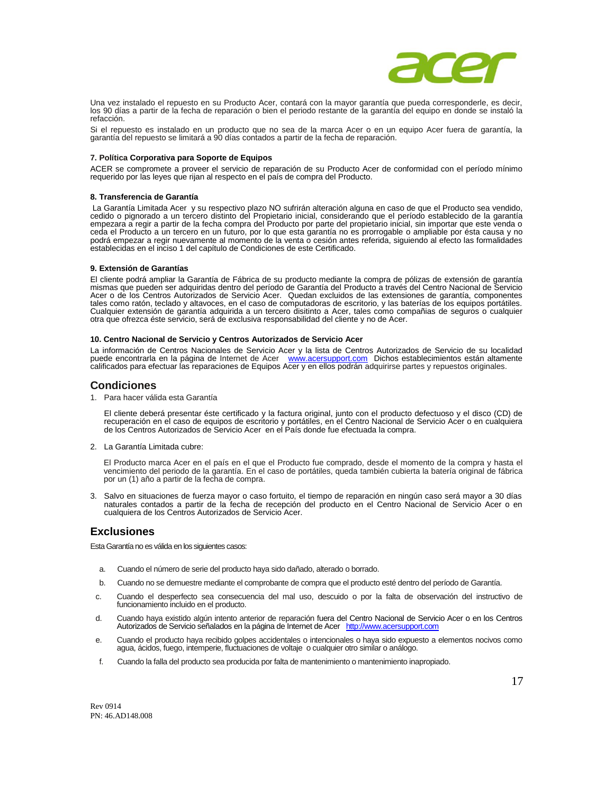

Una vez instalado el repuesto en su Producto Acer, contará con la mayor garantía que pueda corresponderle, es decir, los 90 días a partir de la fecha de reparación o bien el periodo restante de la garantía del equipo en donde se instaló la refacción.

Si el repuesto es instalado en un producto que no sea de la marca Acer o en un equipo Acer fuera de garantía, la garantía del repuesto se limitará a 90 días contados a partir de la fecha de reparación.

#### **7. Política Corporativa para Soporte de Equipos**

ACER se compromete a proveer el servicio de reparación de su Producto Acer de conformidad con el período mínimo requerido por las leyes que rijan al respecto en el país de compra del Producto.

#### **8. Transferencia de Garantía**

La Garantía Limitada Acer y su respectivo plazo NO sufrirán alteración alguna en caso de que el Producto sea vendido, cedido o pignorado a un tercero distinto del Propietario inicial, considerando que el período establecido de la garantía empezara a regir a partir de la fecha compra del Producto por parte del propietario inicial, sin importar que este venda o ceda el Producto a un tercero en un futuro, por lo que esta garantía no es prorrogable o ampliable por ésta causa y no podrá empezar a regir nuevamente al momento de la venta o cesión antes referida, siguiendo al efecto las formalidades establecidas en el inciso 1 del capítulo de Condiciones de este Certificado.

#### **9. Extensión de Garantías**

El cliente podrá ampliar la Garantía de Fábrica de su producto mediante la compra de pólizas de extensión de garantía mismas que pueden ser adquiridas dentro del período de Garantía del Producto a través del Centro Nacional de Servicio Acer o de los Centros Autorizados de Servicio Acer. Quedan excluidos de las extensiones de garantía, componentes tales como ratón, teclado y altavoces, en el caso de computadoras de escritorio, y las baterías de los equipos portátiles. Cualquier extensión de garantía adquirida a un tercero disitinto a Acer, tales como compañias de seguros o cualquier otra que ofrezca éste servicio, será de exclusiva responsabilidad del cliente y no de Acer.

#### **10. Centro Nacional de Servicio y Centros Autorizados de Servicio Acer**

La información de Centros Nacionales de Servicio Acer y la lista de Centros Autorizados de Servicio de su localidad puede encontrarla en la página de Internet de Acer [www.acersupport.com](http://www.acerpanam.com/) Dichos establecimientos están altamente calificados para efectuar las reparaciones de Equipos Acer y en ellos podrán adquirirse partes y repuestos originales.

### **Condiciones**

1. Para hacer válida esta Garantía

El cliente deberá presentar éste certificado y la factura original, junto con el producto defectuoso y el disco (CD) de recuperación en el caso de equipos de escritorio y portátiles, en el Centro Nacional de Servicio Acer o en cualquiera de los Centros Autorizados de Servicio Acer en el País donde fue efectuada la compra.

2. La Garantía Limitada cubre:

El Producto marca Acer en el país en el que el Producto fue comprado, desde el momento de la compra y hasta el vencimiento del periodo de la garantía. En el caso de portátiles, queda también cubierta la batería original de fábrica por un (1) año a partir de la fecha de compra.

3. Salvo en situaciones de fuerza mayor o caso fortuito, el tiempo de reparación en ningún caso será mayor a 30 días naturales contados a partir de la fecha de recepción del producto en el Centro Nacional de Servicio Acer o en cualquiera de los Centros Autorizados de Servicio Acer.

## **Exclusiones**

Esta Garantía no es válida en los siguientes casos:

- a. Cuando el número de serie del producto haya sido dañado, alterado o borrado.
- b. Cuando no se demuestre mediante el comprobante de compra que el producto esté dentro del período de Garantía.
- c. Cuando el desperfecto sea consecuencia del mal uso, descuido o por la falta de observación del instructivo de funcionamiento incluido en el producto.
- d. Cuando haya existido algún intento anterior de reparación fuera del Centro Nacional de Servicio Acer o en los Centros Autorizados de Servicio señalados en la página de Internet de Acer [http://www.acersupport.com](http://www.acerpanam.com/)
- e. Cuando el producto haya recibido golpes accidentales o intencionales o haya sido expuesto a elementos nocivos como agua, ácidos, fuego, intemperie, fluctuaciones de voltaje o cualquier otro similar o análogo.
- f. Cuando la falla del producto sea producida por falta de mantenimiento o mantenimiento inapropiado.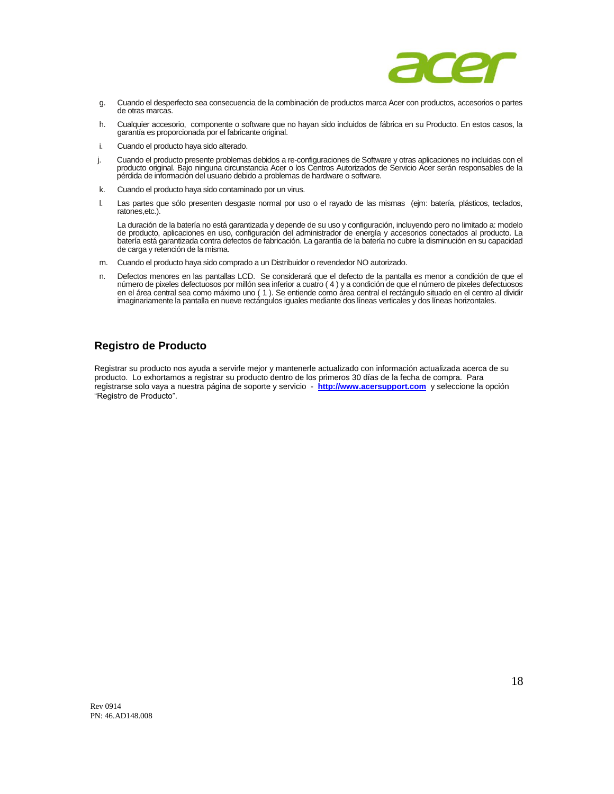

- g. Cuando el desperfecto sea consecuencia de la combinación de productos marca Acer con productos, accesorios o partes de otras marcas.
- h. Cualquier accesorio, componente o software que no hayan sido incluidos de fábrica en su Producto. En estos casos, la garantía es proporcionada por el fabricante original.
- i. Cuando el producto haya sido alterado.
- j. Cuando el producto presente problemas debidos a re-configuraciones de Software y otras aplicaciones no incluidas con el producto original. Bajo ninguna circunstancia Acer o los Centros Autorizados de Servicio Acer serán responsables de la pérdida de información del usuario debido a problemas de hardware o software.
- k. Cuando el producto haya sido contaminado por un virus.
- l. Las partes que sólo presenten desgaste normal por uso o el rayado de las mismas (ejm: batería, plásticos, teclados, ratones,etc.).

La duración de la batería no está garantizada y depende de su uso y configuración, incluyendo pero no limitado a: modelo<br>de producto, aplicaciones en uso, configuración del administrador de energía y accesorios conectados batería está garantizada contra defectos de fabricación. La garantía de la batería no cubre la disminución en su capacidad de carga y retención de la misma.

- m. Cuando el producto haya sido comprado a un Distribuidor o revendedor NO autorizado.
- n. Defectos menores en las pantallas LCD. Se considerará que el defecto de la pantalla es menor a condición de que el número de pixeles defectuosos por millón sea inferior a cuatro ( 4 ) y a condición de que el número de pixeles defectuosos en el área central sea como máximo uno ( 1 ). Se entiende como área central el rectángulo situado en el centro al dividir<br>imaginariamente la pantalla en nueve rectángulos iguales mediante dos líneas verticales y dos líneas

## **Registro de Producto**

Registrar su producto nos ayuda a servirle mejor y mantenerle actualizado con información actualizada acerca de su producto. Lo exhortamos a registrar su producto dentro de los primeros 30 días de la fecha de compra. Para registrarse solo vaya a nuestra página de soporte y servicio - **[http://www.acersupport.com](http://www.acersupport.com/)** y seleccione la opción "Registro de Producto".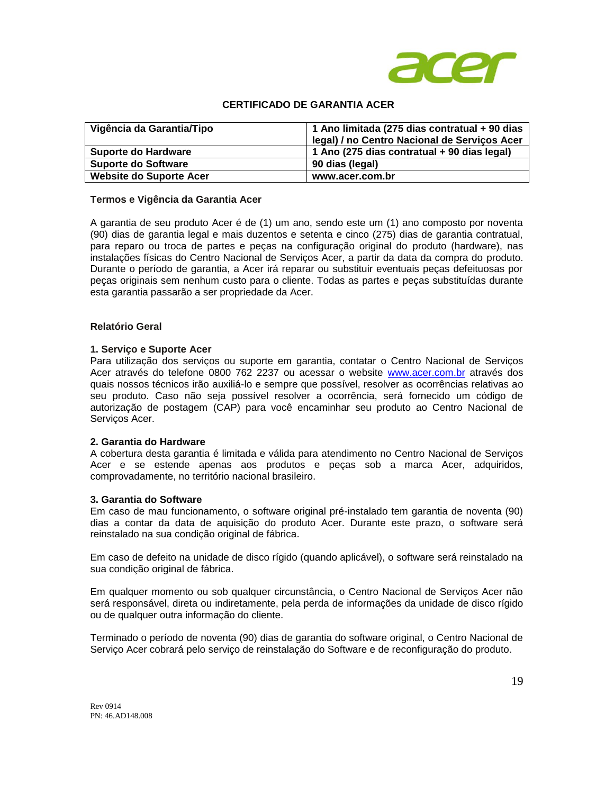

## **CERTIFICADO DE GARANTIA ACER**

| Vigência da Garantia/Tipo      | 1 Ano limitada (275 dias contratual + 90 dias<br>legal) / no Centro Nacional de Serviços Acer |
|--------------------------------|-----------------------------------------------------------------------------------------------|
| Suporte do Hardware            | 1 Ano (275 dias contratual + 90 dias legal)                                                   |
| <b>Suporte do Software</b>     | 90 dias (legal)                                                                               |
| <b>Website do Suporte Acer</b> | www.acer.com.br                                                                               |

## **Termos e Vigência da Garantia Acer**

A garantia de seu produto Acer é de (1) um ano, sendo este um (1) ano composto por noventa (90) dias de garantia legal e mais duzentos e setenta e cinco (275) dias de garantia contratual, para reparo ou troca de partes e peças na configuração original do produto (hardware), nas instalações físicas do Centro Nacional de Serviços Acer, a partir da data da compra do produto. Durante o período de garantia, a Acer irá reparar ou substituir eventuais peças defeituosas por peças originais sem nenhum custo para o cliente. Todas as partes e peças substituídas durante esta garantia passarão a ser propriedade da Acer.

## **Relatório Geral**

## **1. Serviço e Suporte Acer**

Para utilização dos serviços ou suporte em garantia, contatar o Centro Nacional de Serviços Acer através do telefone 0800 762 2237 ou acessar o website [www.acer.com.br](http://www.acer.com.br/) através dos quais nossos técnicos irão auxiliá-lo e sempre que possível, resolver as ocorrências relativas ao seu produto. Caso não seja possível resolver a ocorrência, será fornecido um código de autorização de postagem (CAP) para você encaminhar seu produto ao Centro Nacional de Serviços Acer.

## **2. Garantia do Hardware**

A cobertura desta garantia é limitada e válida para atendimento no Centro Nacional de Serviços Acer e se estende apenas aos produtos e peças sob a marca Acer, adquiridos, comprovadamente, no território nacional brasileiro.

## **3. Garantia do Software**

Em caso de mau funcionamento, o software original pré-instalado tem garantia de noventa (90) dias a contar da data de aquisição do produto Acer. Durante este prazo, o software será reinstalado na sua condição original de fábrica.

Em caso de defeito na unidade de disco rígido (quando aplicável), o software será reinstalado na sua condição original de fábrica.

Em qualquer momento ou sob qualquer circunstância, o Centro Nacional de Serviços Acer não será responsável, direta ou indiretamente, pela perda de informações da unidade de disco rígido ou de qualquer outra informação do cliente.

Terminado o período de noventa (90) dias de garantia do software original, o Centro Nacional de Serviço Acer cobrará pelo serviço de reinstalação do Software e de reconfiguração do produto.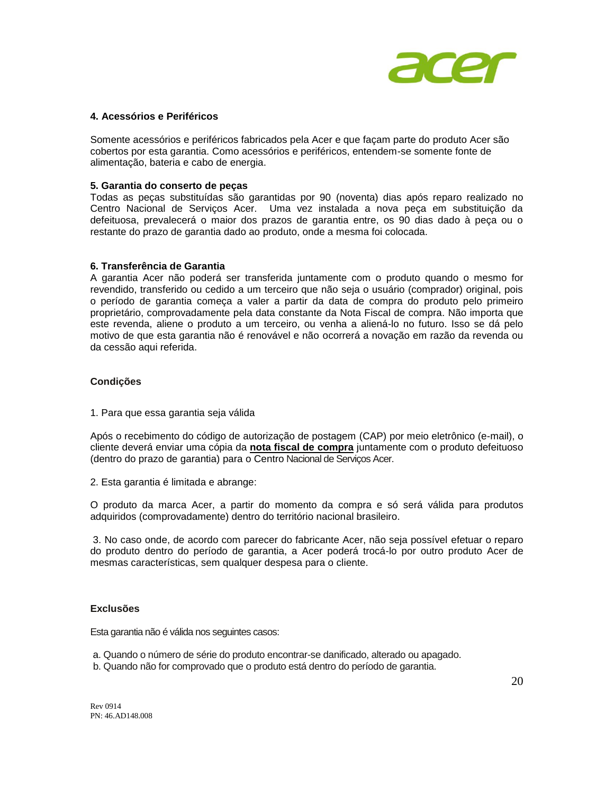

## **4. Acessórios e Periféricos**

Somente acessórios e periféricos fabricados pela Acer e que façam parte do produto Acer são cobertos por esta garantia. Como acessórios e periféricos, entendem-se somente fonte de alimentação, bateria e cabo de energia.

## **5. Garantia do conserto de peças**

Todas as peças substituídas são garantidas por 90 (noventa) dias após reparo realizado no Centro Nacional de Serviços Acer. Uma vez instalada a nova peça em substituição da defeituosa, prevalecerá o maior dos prazos de garantia entre, os 90 dias dado à peça ou o restante do prazo de garantia dado ao produto, onde a mesma foi colocada.

## **6. Transferência de Garantia**

A garantia Acer não poderá ser transferida juntamente com o produto quando o mesmo for revendido, transferido ou cedido a um terceiro que não seja o usuário (comprador) original, pois o período de garantia começa a valer a partir da data de compra do produto pelo primeiro proprietário, comprovadamente pela data constante da Nota Fiscal de compra. Não importa que este revenda, aliene o produto a um terceiro, ou venha a aliená-lo no futuro. Isso se dá pelo motivo de que esta garantia não é renovável e não ocorrerá a novação em razão da revenda ou da cessão aqui referida.

## **Condições**

1. Para que essa garantia seja válida

Após o recebimento do código de autorização de postagem (CAP) por meio eletrônico (e-mail), o cliente deverá enviar uma cópia da **nota fiscal de compra** juntamente com o produto defeituoso (dentro do prazo de garantia) para o Centro Nacional de Serviços Acer.

2. Esta garantia é limitada e abrange:

O produto da marca Acer, a partir do momento da compra e só será válida para produtos adquiridos (comprovadamente) dentro do território nacional brasileiro.

3. No caso onde, de acordo com parecer do fabricante Acer, não seja possível efetuar o reparo do produto dentro do período de garantia, a Acer poderá trocá-lo por outro produto Acer de mesmas características, sem qualquer despesa para o cliente.

## **Exclusões**

Esta garantia não é válida nos seguintes casos:

a. Quando o número de série do produto encontrar-se danificado, alterado ou apagado.

b. Quando não for comprovado que o produto está dentro do período de garantia.

Rev 0914 PN: 46.AD148.008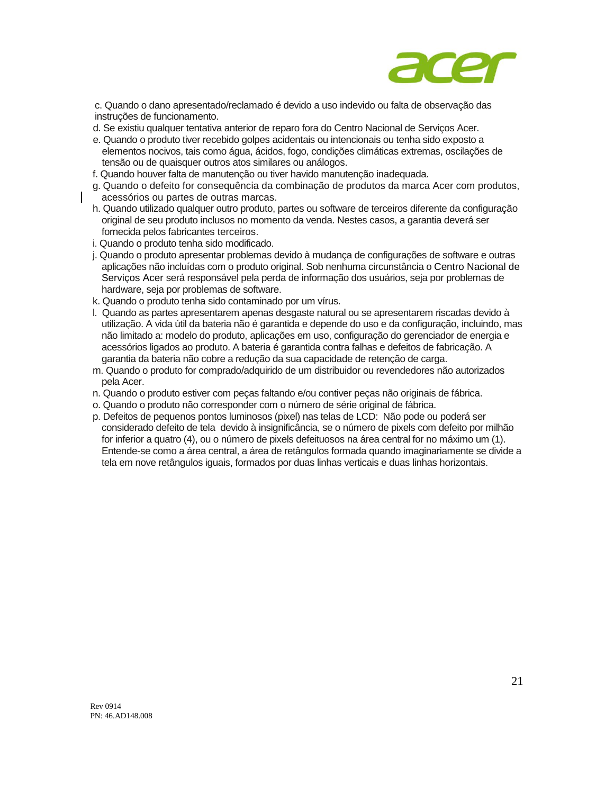

c. Quando o dano apresentado/reclamado é devido a uso indevido ou falta de observação das instruções de funcionamento.

d. Se existiu qualquer tentativa anterior de reparo fora do Centro Nacional de Serviços Acer.

- e. Quando o produto tiver recebido golpes acidentais ou intencionais ou tenha sido exposto a elementos nocivos, tais como água, ácidos, fogo, condições climáticas extremas, oscilações de tensão ou de quaisquer outros atos similares ou análogos.
- f. Quando houver falta de manutenção ou tiver havido manutenção inadequada.
- g. Quando o defeito for consequência da combinação de produtos da marca Acer com produtos, acessórios ou partes de outras marcas.
- h. Quando utilizado qualquer outro produto, partes ou software de terceiros diferente da configuração original de seu produto inclusos no momento da venda. Nestes casos, a garantia deverá ser fornecida pelos fabricantes terceiros.
- i. Quando o produto tenha sido modificado.
- j. Quando o produto apresentar problemas devido à mudança de configurações de software e outras aplicações não incluídas com o produto original. Sob nenhuma circunstância o Centro Nacional de Serviços Acer será responsável pela perda de informação dos usuários, seja por problemas de hardware, seja por problemas de software.
- k. Quando o produto tenha sido contaminado por um vírus.
- l. Quando as partes apresentarem apenas desgaste natural ou se apresentarem riscadas devido à utilização. A vida útil da bateria não é garantida e depende do uso e da configuração, incluindo, mas não limitado a: modelo do produto, aplicações em uso, configuração do gerenciador de energia e acessórios ligados ao produto. A bateria é garantida contra falhas e defeitos de fabricação. A garantia da bateria não cobre a redução da sua capacidade de retenção de carga.
- m. Quando o produto for comprado/adquirido de um distribuidor ou revendedores não autorizados pela Acer.
- n. Quando o produto estiver com peças faltando e/ou contiver peças não originais de fábrica.
- o. Quando o produto não corresponder com o número de série original de fábrica.
- p. Defeitos de pequenos pontos luminosos (pixel) nas telas de LCD: Não pode ou poderá ser considerado defeito de tela devido à insignificância, se o número de pixels com defeito por milhão for inferior a quatro (4), ou o número de pixels defeituosos na área central for no máximo um (1). Entende-se como a área central, a área de retângulos formada quando imaginariamente se divide a tela em nove retângulos iguais, formados por duas linhas verticais e duas linhas horizontais.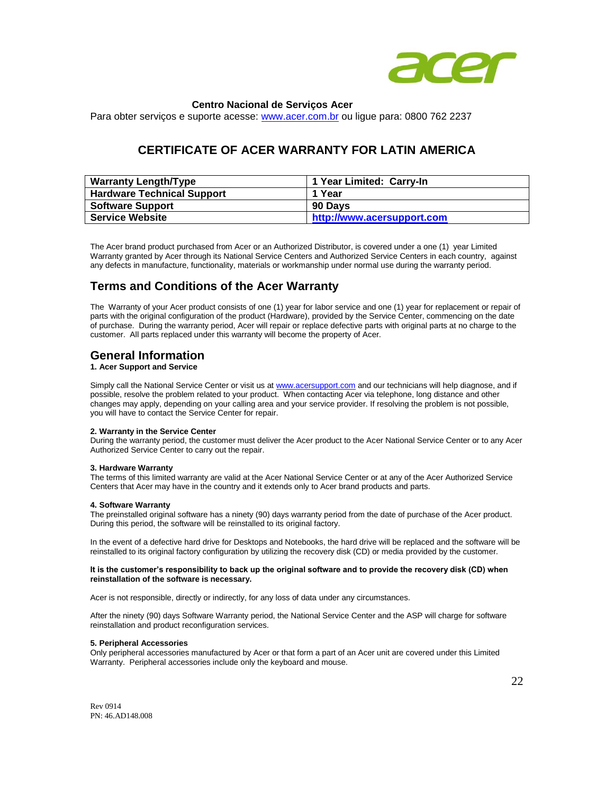

## **Centro Nacional de Serviços Acer**

Para obter serviços e suporte acesse: [www.acer.com.br](http://www.acer.com.br/) ou ligue para: 0800 762 2237

## **CERTIFICATE OF ACER WARRANTY FOR LATIN AMERICA**

| <b>Warranty Length/Type</b>       | 1 Year Limited: Carry-In   |
|-----------------------------------|----------------------------|
| <b>Hardware Technical Support</b> | 1 Year                     |
| <b>Software Support</b>           | 90 Davs                    |
| <b>Service Website</b>            | http://www.acersupport.com |

The Acer brand product purchased from Acer or an Authorized Distributor, is covered under a one (1) year Limited Warranty granted by Acer through its National Service Centers and Authorized Service Centers in each country, against any defects in manufacture, functionality, materials or workmanship under normal use during the warranty period.

## **Terms and Conditions of the Acer Warranty**

The Warranty of your Acer product consists of one (1) year for labor service and one (1) year for replacement or repair of parts with the original configuration of the product (Hardware), provided by the Service Center, commencing on the date of purchase. During the warranty period, Acer will repair or replace defective parts with original parts at no charge to the customer. All parts replaced under this warranty will become the property of Acer.

## **General Information**

### **1. Acer Support and Service**

Simply call the National Service Center or visit us a[t www.acersupport.com](http://www.acersupport.com/) and our technicians will help diagnose, and if possible, resolve the problem related to your product. When contacting Acer via telephone, long distance and other changes may apply, depending on your calling area and your service provider. If resolving the problem is not possible, you will have to contact the Service Center for repair.

### **2. Warranty in the Service Center**

During the warranty period, the customer must deliver the Acer product to the Acer National Service Center or to any Acer Authorized Service Center to carry out the repair.

### **3. Hardware Warranty**

The terms of this limited warranty are valid at the Acer National Service Center or at any of the Acer Authorized Service Centers that Acer may have in the country and it extends only to Acer brand products and parts.

#### **4. Software Warranty**

The preinstalled original software has a ninety (90) days warranty period from the date of purchase of the Acer product. During this period, the software will be reinstalled to its original factory.

In the event of a defective hard drive for Desktops and Notebooks, the hard drive will be replaced and the software will be reinstalled to its original factory configuration by utilizing the recovery disk (CD) or media provided by the customer.

#### **It is the customer's responsibility to back up the original software and to provide the recovery disk (CD) when reinstallation of the software is necessary.**

Acer is not responsible, directly or indirectly, for any loss of data under any circumstances.

After the ninety (90) days Software Warranty period, the National Service Center and the ASP will charge for software reinstallation and product reconfiguration services.

#### **5. Peripheral Accessories**

Only peripheral accessories manufactured by Acer or that form a part of an Acer unit are covered under this Limited Warranty. Peripheral accessories include only the keyboard and mouse.

Rev 0914 PN: 46.AD148.008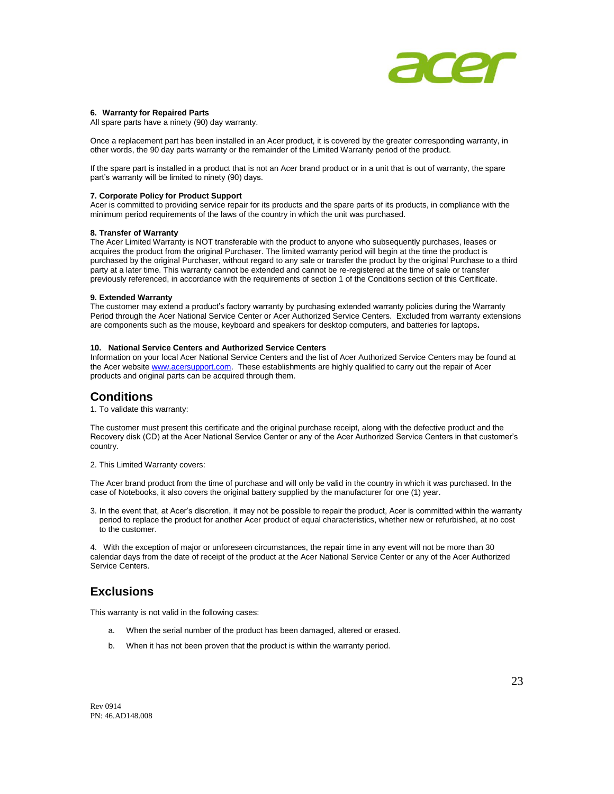

### **6. Warranty for Repaired Parts**

All spare parts have a ninety (90) day warranty.

Once a replacement part has been installed in an Acer product, it is covered by the greater corresponding warranty, in other words, the 90 day parts warranty or the remainder of the Limited Warranty period of the product.

If the spare part is installed in a product that is not an Acer brand product or in a unit that is out of warranty, the spare part's warranty will be limited to ninety (90) days.

#### **7. Corporate Policy for Product Support**

Acer is committed to providing service repair for its products and the spare parts of its products, in compliance with the minimum period requirements of the laws of the country in which the unit was purchased.

#### **8. Transfer of Warranty**

The Acer Limited Warranty is NOT transferable with the product to anyone who subsequently purchases, leases or acquires the product from the original Purchaser. The limited warranty period will begin at the time the product is purchased by the original Purchaser, without regard to any sale or transfer the product by the original Purchase to a third party at a later time. This warranty cannot be extended and cannot be re-registered at the time of sale or transfer previously referenced, in accordance with the requirements of section 1 of the Conditions section of this Certificate.

#### **9. Extended Warranty**

The customer may extend a product's factory warranty by purchasing extended warranty policies during the Warranty Period through the Acer National Service Center or Acer Authorized Service Centers. Excluded from warranty extensions are components such as the mouse, keyboard and speakers for desktop computers, and batteries for laptops**.**

### **10. National Service Centers and Authorized Service Centers**

Information on your local Acer National Service Centers and the list of Acer Authorized Service Centers may be found at the Acer websit[e www.acersupport.com.](http://www.acersupport.com/) These establishments are highly qualified to carry out the repair of Acer products and original parts can be acquired through them.

## **Conditions**

1. To validate this warranty:

The customer must present this certificate and the original purchase receipt, along with the defective product and the Recovery disk (CD) at the Acer National Service Center or any of the Acer Authorized Service Centers in that customer's country.

2. This Limited Warranty covers:

The Acer brand product from the time of purchase and will only be valid in the country in which it was purchased. In the case of Notebooks, it also covers the original battery supplied by the manufacturer for one (1) year.

3. In the event that, at Acer's discretion, it may not be possible to repair the product, Acer is committed within the warranty period to replace the product for another Acer product of equal characteristics, whether new or refurbished, at no cost to the customer.

4. With the exception of major or unforeseen circumstances, the repair time in any event will not be more than 30 calendar days from the date of receipt of the product at the Acer National Service Center or any of the Acer Authorized Service Centers.

## **Exclusions**

This warranty is not valid in the following cases:

- a. When the serial number of the product has been damaged, altered or erased.
- b. When it has not been proven that the product is within the warranty period.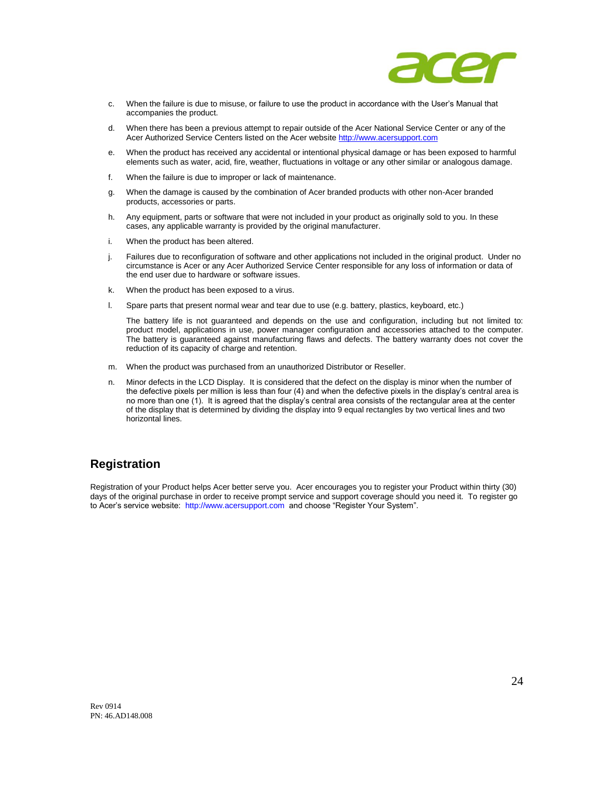

- c. When the failure is due to misuse, or failure to use the product in accordance with the User's Manual that accompanies the product.
- d. When there has been a previous attempt to repair outside of the Acer National Service Center or any of the Acer Authorized Service Centers listed on the Acer websit[e http://www.acersupport.com](http://www.acersupport.com/)
- e. When the product has received any accidental or intentional physical damage or has been exposed to harmful elements such as water, acid, fire, weather, fluctuations in voltage or any other similar or analogous damage.
- f. When the failure is due to improper or lack of maintenance.
- g. When the damage is caused by the combination of Acer branded products with other non-Acer branded products, accessories or parts.
- h. Any equipment, parts or software that were not included in your product as originally sold to you. In these cases, any applicable warranty is provided by the original manufacturer.
- i. When the product has been altered.
- j. Failures due to reconfiguration of software and other applications not included in the original product. Under no circumstance is Acer or any Acer Authorized Service Center responsible for any loss of information or data of the end user due to hardware or software issues.
- k. When the product has been exposed to a virus.
- l. Spare parts that present normal wear and tear due to use (e.g. battery, plastics, keyboard, etc.)

The battery life is not guaranteed and depends on the use and configuration, including but not limited to: product model, applications in use, power manager configuration and accessories attached to the computer. The battery is guaranteed against manufacturing flaws and defects. The battery warranty does not cover the reduction of its capacity of charge and retention.

- m. When the product was purchased from an unauthorized Distributor or Reseller.
- n. Minor defects in the LCD Display. It is considered that the defect on the display is minor when the number of the defective pixels per million is less than four (4) and when the defective pixels in the display's central area is no more than one (1). It is agreed that the display's central area consists of the rectangular area at the center of the display that is determined by dividing the display into 9 equal rectangles by two vertical lines and two horizontal lines.

## **Registration**

Registration of your Product helps Acer better serve you. Acer encourages you to register your Product within thirty (30) days of the original purchase in order to receive prompt service and support coverage should you need it. To register go to Acer's service website: [http://www.acersupport.com](http://www.acersupport.com/) and choose "Register Your System".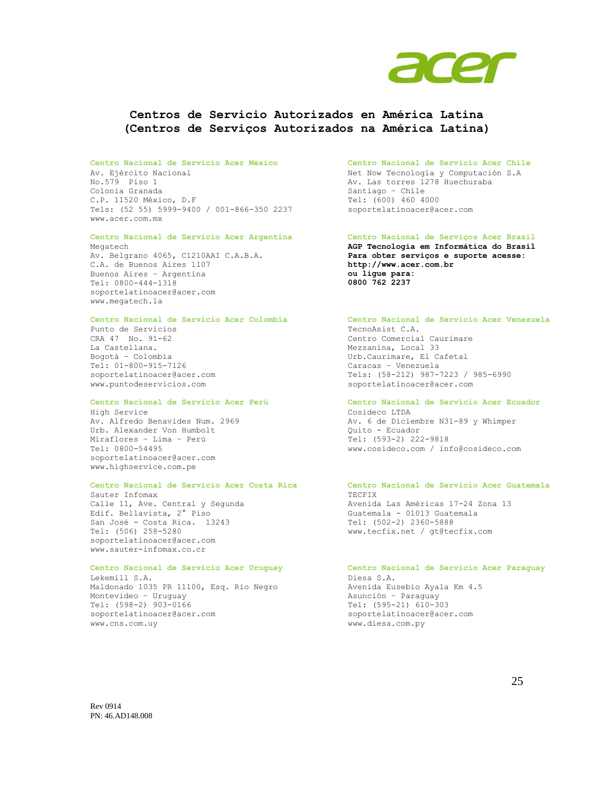

## **Centros de Servicio Autorizados en América Latina (Centros de Serviços Autorizados na América Latina)**

### **Centro Nacional de Servicio Acer México Centro Nacional de Servicio Acer Chile**

Av. Ejército Nacional No.579 Piso 1 Colonia Granada C.P. 11520 México, D.F Tels: (52 55) 5999-9400 / 001-866-350 2237 [www.acer.com.mx](http://www.acer.com.mx/)

### **Centro Nacional de Servicio Acer Argentina Centro Nacional de Serviços Acer Brasil**

Megatech Av. Belgrano 4065, C1210AAI C.A.B.A. C.A. de Buenos Aires 1107 Buenos Aires – Argentina Tel: 0800-444-1318 soportelatinoacer@acer.com www.megatech.la

Punto de Servicios CRA 47 No. 91-62 La Castellana. Bogotá – Colombia Tel: 01-800-915-7126 soportelatinoacer@acer.com www.puntodeservicios.com

High Service Av. Alfredo Benavides Num. 2969 Urb. Alexander Von Humbolt Miraflores – Lima – Perú Tel: 0800-54495 soportelatinoacer@acer.com www.highservice.com.pe

#### **Centro Nacional de Servicio Acer Costa Rica Centro Nacional de Servicio Acer Guatemala**

Sauter Infomax Calle 11, Ave. Central y Segunda Edif. Bellavista, 2° Piso San José - Costa Rica. 13243 Tel: (506) 258-5280 soportelatinoacer@acer.com www.sauter-infomax.co.cr

Lekemill S.A. Maldonado 1035 PR 11100, Esq. Rio Negro Montevideo – Uruguay Tel: (598-2) 903-0166 soportelatinoacer@acer.com www.cns.com.uy

Net Now Tecnología y Computación S.A Av. Las torres 1278 Huechuraba Santiago – Chile Tel: (600) 460 4000 soportelatinoacer@acer.com

**AGP Tecnologia em Informática do Brasil Para obter serviços e suporte acesse: http://www.acer.com.br ou ligue para: 0800 762 2237** 

#### **Centro Nacional de Servicio Acer Colombia Centro Nacional de Servicio Acer Venezuela**

TecnoAsist C.A. Centro Comercial Caurimare Mezzanina, Local 33 Urb.Caurimare, El Cafetal Caracas – Venezuela Tels: (58-212) 987-7223 / 985-6990 soportelatinoacer@acer.com

### **Centro Nacional de Servicio Acer Perú Centro Nacional de Servicio Acer Ecuador**

Cosideco LTDA Av. 6 de Diciembre N31-89 y Whimper Quito - Ecuador Tel: (593-2) 222-9818 www.cosideco.com / info@cosideco.com

TECFIX Avenida Las Américas 17-24 Zona 13 Guatemala - 01013 Guatemala Tel: (502-2) 2360-5888 www.tecfix.net / gt@tecfix.com

#### **Centro Nacional de Servicio Acer Uruguay Centro Nacional de Servicio Acer Paraguay**

Diesa S.A. Avenida Eusebio Ayala Km 4.5 Asunción – Paraguay Tel: (595-21) 610-303 soportelatinoacer@acer.com www.diesa.com.py

Rev 0914 PN: 46.AD148.008